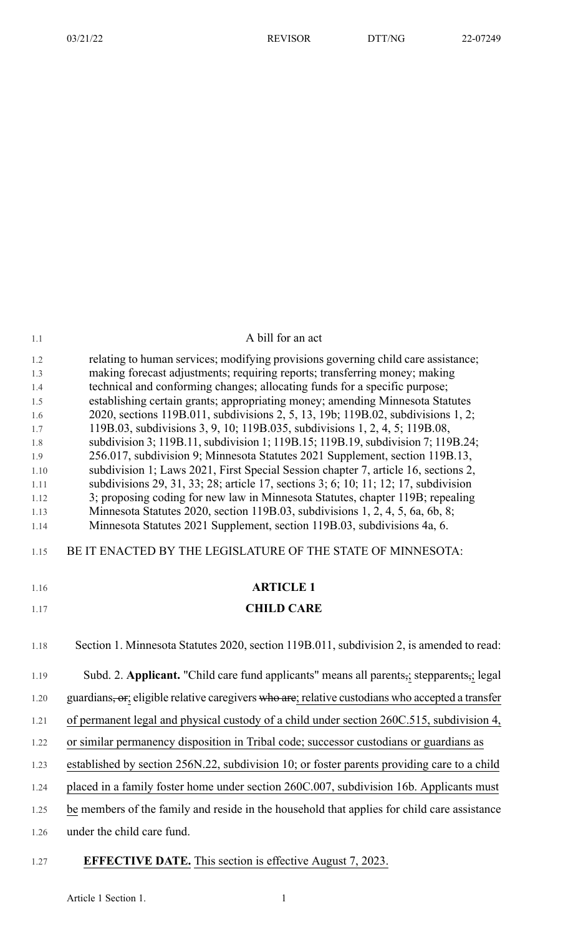| 1.1          | A bill for an act                                                                                                                                                         |
|--------------|---------------------------------------------------------------------------------------------------------------------------------------------------------------------------|
| 1.2          | relating to human services; modifying provisions governing child care assistance;                                                                                         |
| 1.3          | making forecast adjustments; requiring reports; transferring money; making                                                                                                |
| 1.4<br>1.5   | technical and conforming changes; allocating funds for a specific purpose;<br>establishing certain grants; appropriating money; amending Minnesota Statutes               |
| 1.6          | 2020, sections 119B.011, subdivisions 2, 5, 13, 19b; 119B.02, subdivisions 1, 2;                                                                                          |
| 1.7          | 119B.03, subdivisions 3, 9, 10; 119B.035, subdivisions 1, 2, 4, 5; 119B.08,                                                                                               |
| 1.8          | subdivision 3; 119B.11, subdivision 1; 119B.15; 119B.19, subdivision 7; 119B.24;                                                                                          |
| 1.9          | 256.017, subdivision 9; Minnesota Statutes 2021 Supplement, section 119B.13,                                                                                              |
| 1.10<br>1.11 | subdivision 1; Laws 2021, First Special Session chapter 7, article 16, sections 2,<br>subdivisions 29, 31, 33; 28; article 17, sections 3; 6; 10; 11; 12; 17, subdivision |
| 1.12         | 3; proposing coding for new law in Minnesota Statutes, chapter 119B; repealing                                                                                            |
| 1.13         | Minnesota Statutes 2020, section 119B.03, subdivisions 1, 2, 4, 5, 6a, 6b, 8;                                                                                             |
| 1.14         | Minnesota Statutes 2021 Supplement, section 119B.03, subdivisions 4a, 6.                                                                                                  |
| 1.15         | BE IT ENACTED BY THE LEGISLATURE OF THE STATE OF MINNESOTA:                                                                                                               |
| 1.16         | <b>ARTICLE 1</b>                                                                                                                                                          |
| 1.17         | <b>CHILD CARE</b>                                                                                                                                                         |
| 1.18         | Section 1. Minnesota Statutes 2020, section 119B.011, subdivision 2, is amended to read:                                                                                  |
|              |                                                                                                                                                                           |
| 1.19         | Subd. 2. Applicant. "Child care fund applicants" means all parents <sub>5</sub> ; stepparents <sub>5</sub> ; legal                                                        |
| 1.20         | guardians, or; eligible relative caregivers who are; relative custodians who accepted a transfer                                                                          |
| 1.21         | of permanent legal and physical custody of a child under section 260C.515, subdivision 4,                                                                                 |
| 1.22         | or similar permanency disposition in Tribal code; successor custodians or guardians as                                                                                    |
| 1.23         | established by section 256N.22, subdivision 10; or foster parents providing care to a child                                                                               |
| 1.24         | placed in a family foster home under section 260C.007, subdivision 16b. Applicants must                                                                                   |
| 1.25         | be members of the family and reside in the household that applies for child care assistance                                                                               |

# 1.27 **EFFECTIVE DATE.** This section is effective August 7, 2023.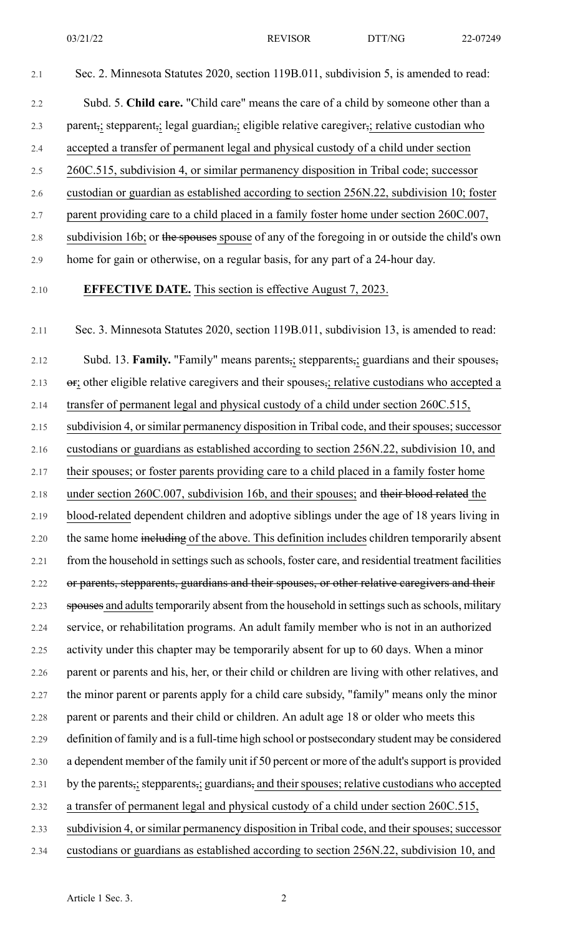2.1 Sec. 2. Minnesota Statutes 2020, section 119B.011, subdivision 5, is amended to read:

# 2.2 Subd. 5. **Child care.** "Child care" means the care of a child by someone other than a 2.3 parent,; stepparent,; legal guardian,; eligible relative caregiver,; relative custodian who 2.4 accepted a transfer of permanent legal and physical custody of a child under section 2.5 260C.515, subdivision 4, or similar permanency disposition in Tribal code; successor 2.6 custodian or guardian as established according to section 256N.22, subdivision 10; foster 2.7 parent providing care to a child placed in a family foster home under section 260C.007, 2.8 subdivision 16b; or the spouses spouse of any of the foregoing in or outside the child's own 2.9 home for gain or otherwise, on a regular basis, for any part of a 24-hour day. 2.10 **EFFECTIVE DATE.** This section is effective August 7, 2023. 2.11 Sec. 3. Minnesota Statutes 2020, section 119B.011, subdivision 13, is amended to read: 2.12 Subd. 13. **Family.** "Family" means parents,; stepparents,; guardians and their spouses, 2.13  $\sigma$ ; other eligible relative caregivers and their spouses,; relative custodians who accepted a 2.14 transfer of permanent legal and physical custody of a child under section 260C.515, 2.15 subdivision 4, or similar permanency disposition in Tribal code, and their spouses; successor 2.16 custodians or guardians as established according to section 256N.22, subdivision 10, and 2.17 their spouses; or foster parents providing care to a child placed in a family foster home 2.18 under section 260C.007, subdivision 16b, and their spouses; and their blood related the 2.19 blood-related dependent children and adoptive siblings under the age of 18 years living in 2.20 the same home including of the above. This definition includes children temporarily absent 2.21 from the household in settings such as schools, foster care, and residential treatment facilities 2.22 or parents, stepparents, guardians and their spouses, or other relative caregivers and their 2.23 spouses and adults temporarily absent from the household in settings such as schools, military 2.24 service, or rehabilitation programs. An adult family member who is not in an authorized 2.25 activity under this chapter may be temporarily absent for up to 60 days. When a minor 2.26 parent or parents and his, her, or their child or children are living with other relatives, and 2.27 the minor parent or parents apply for a child care subsidy, "family" means only the minor 2.28 parent or parents and their child or children. An adult age 18 or older who meets this 2.29 definition of family and is a full-time high school or postsecondary student may be considered 2.30 a dependent member of the family unit if 50 percent or more of the adult's support is provided 2.31 by the parents, stepparents, guardians, and their spouses; relative custodians who accepted 2.32 a transfer of permanent legal and physical custody of a child under section 260C.515, 2.33 subdivision 4, or similar permanency disposition in Tribal code, and their spouses; successor 2.34 custodians or guardians as established according to section 256N.22, subdivision 10, and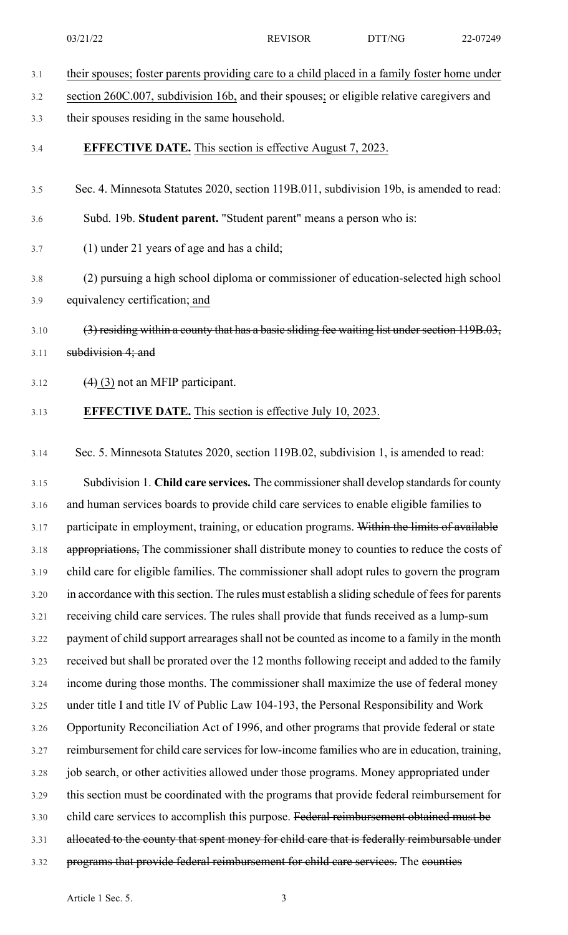| 3.1 |  |  | their spouses; foster parents providing care to a child placed in a family foster home under |
|-----|--|--|----------------------------------------------------------------------------------------------|
|     |  |  |                                                                                              |

- 3.2 section 260C.007, subdivision 16b, and their spouses; or eligible relative caregivers and
- 3.3 their spouses residing in the same household.
- 3.4 **EFFECTIVE DATE.** This section is effective August 7, 2023.
- 3.5 Sec. 4. Minnesota Statutes 2020, section 119B.011, subdivision 19b, is amended to read:
- 3.6 Subd. 19b. **Student parent.** "Student parent" means a person who is:
- 3.7 (1) under 21 years of age and has a child;
- 3.8 (2) pursuing a high school diploma or commissioner of education-selected high school 3.9 equivalency certification; and
- 3.10 (3) residing within a county that has a basic sliding fee waiting list under section 119B.03, 3.11 subdivision 4; and
- 3.12  $(4)$  (3) not an MFIP participant.

### 3.13 **EFFECTIVE DATE.** This section is effective July 10, 2023.

3.14 Sec. 5. Minnesota Statutes 2020, section 119B.02, subdivision 1, is amended to read:

3.15 Subdivision 1. **Child care services.** The commissionershall develop standardsfor county 3.16 and human services boards to provide child care services to enable eligible families to 3.17 participate in employment, training, or education programs. Within the limits of available 3.18 appropriations, The commissioner shall distribute money to counties to reduce the costs of 3.19 child care for eligible families. The commissioner shall adopt rules to govern the program 3.20 in accordance with this section. The rules must establish a sliding schedule of fees for parents 3.21 receiving child care services. The rules shall provide that funds received as a lump-sum 3.22 payment of child support arrearages shall not be counted as income to a family in the month 3.23 received but shall be prorated over the 12 months following receipt and added to the family 3.24 income during those months. The commissioner shall maximize the use of federal money 3.25 under title I and title IV of Public Law 104-193, the Personal Responsibility and Work 3.26 Opportunity Reconciliation Act of 1996, and other programs that provide federal or state 3.27 reimbursement for child care services for low-income families who are in education, training, 3.28 job search, or other activities allowed under those programs. Money appropriated under 3.29 this section must be coordinated with the programs that provide federal reimbursement for 3.30 child care services to accomplish this purpose. Federal reimbursement obtained must be 3.31 allocated to the county that spent money for child care that is federally reimbursable under 3.32 programs that provide federal reimbursement for child care services. The counties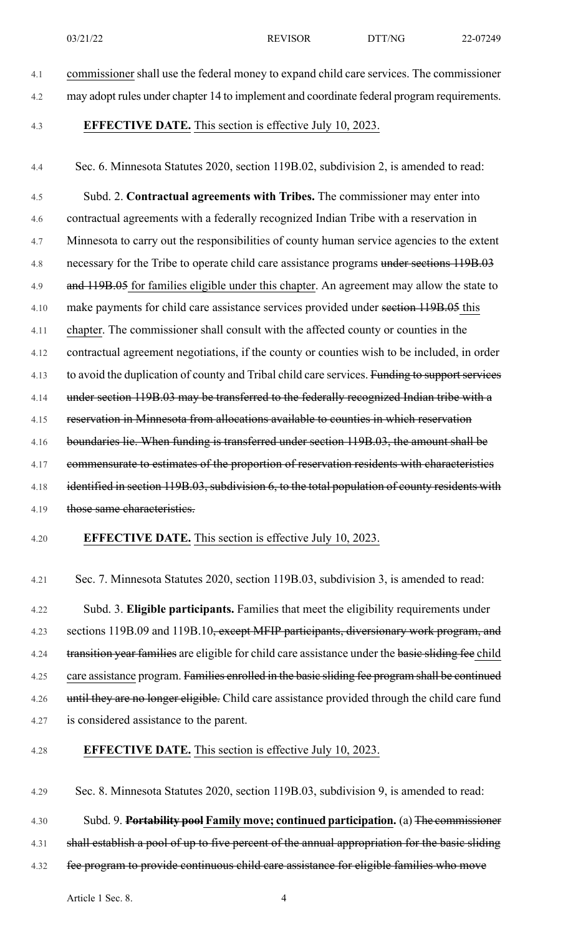- 4.1 commissioner shall use the federal money to expand child care services. The commissioner
- 4.2 may adopt rules under chapter 14 to implement and coordinate federal program requirements.
- 

4.3 **EFFECTIVE DATE.** This section is effective July 10, 2023.

4.4 Sec. 6. Minnesota Statutes 2020, section 119B.02, subdivision 2, is amended to read:

4.5 Subd. 2. **Contractual agreements with Tribes.** The commissioner may enter into 4.6 contractual agreements with a federally recognized Indian Tribe with a reservation in 4.7 Minnesota to carry out the responsibilities of county human service agencies to the extent 4.8 necessary for the Tribe to operate child care assistance programs under sections 119B.03 4.9 and 119B.05 for families eligible under this chapter. An agreement may allow the state to 4.10 make payments for child care assistance services provided under section 119B.05 this 4.11 chapter. The commissioner shall consult with the affected county or counties in the 4.12 contractual agreement negotiations, if the county or counties wish to be included, in order 4.13 to avoid the duplication of county and Tribal child care services. Funding to support services 4.14 under section 119B.03 may be transferred to the federally recognized Indian tribe with a 4.15 reservation in Minnesota from allocations available to counties in which reservation 4.16 boundaries lie. When funding is transferred under section 119B.03, the amount shall be 4.17 commensurate to estimates of the proportion of reservation residents with characteristics 4.18 identified in section 119B.03, subdivision 6, to the total population of county residents with 4.19 those same characteristics.

#### 4.20 **EFFECTIVE DATE.** This section is effective July 10, 2023.

4.21 Sec. 7. Minnesota Statutes 2020, section 119B.03, subdivision 3, is amended to read:

4.22 Subd. 3. **Eligible participants.** Families that meet the eligibility requirements under 4.23 sections 119B.09 and 119B.10, except MFIP participants, diversionary work program, and 4.24 transition year families are eligible for child care assistance under the basic sliding fee child 4.25 care assistance program. Families enrolled in the basic sliding fee program shall be continued 4.26 until they are no longer eligible. Child care assistance provided through the child care fund 4.27 is considered assistance to the parent.

### 4.28 **EFFECTIVE DATE.** This section is effective July 10, 2023.

4.29 Sec. 8. Minnesota Statutes 2020, section 119B.03, subdivision 9, is amended to read:

4.30 Subd. 9. **Portability pool Family move; continued participation.** (a) The commissioner

4.31 shall establish a pool of up to five percent of the annual appropriation for the basic sliding

4.32 fee program to provide continuous child care assistance for eligible families who move

Article 1 Sec. 8. 4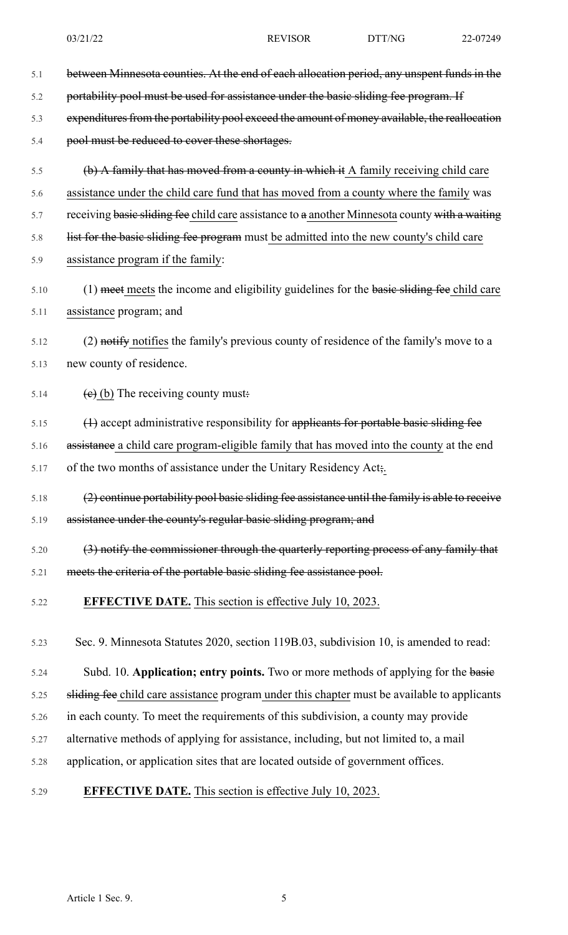- 5.1 between Minnesota counties. At the end of each allocation period, any unspent funds in the 5.2 portability pool must be used for assistance under the basic sliding fee program. If 5.3 expenditures from the portability pool exceed the amount of money available, the reallocation 5.4 pool must be reduced to cover these shortages. 5.5 (b) A family that has moved from a county in which it A family receiving child care 5.6 assistance under the child care fund that has moved from a county where the family was 5.7 receiving basic sliding fee child care assistance to a another Minnesota county with a waiting 5.8 list for the basic sliding fee program must be admitted into the new county's child care 5.9 assistance program if the family: 5.10 (1) meet meets the income and eligibility guidelines for the basic sliding fee child care 5.11 assistance program; and 5.12 (2) notify notifies the family's previous county of residence of the family's move to a 5.13 new county of residence. 5.14 (e) (b) The receiving county must.  $\left\langle \cdot\right\rangle$  (1) accept administrative responsibility for applicants for portable basic sliding fee 5.16 assistance a child care program-eligible family that has moved into the county at the end 5.17 of the two months of assistance under the Unitary Residency Act;. 5.18 (2) continue portability pool basic sliding fee assistance until the family is able to receive 5.19 assistance under the county's regular basic sliding program; and 5.20 (3) notify the commissioner through the quarterly reporting process of any family that 5.21 meets the criteria of the portable basic sliding fee assistance pool. 5.22 **EFFECTIVE DATE.** This section is effective July 10, 2023. 5.23 Sec. 9. Minnesota Statutes 2020, section 119B.03, subdivision 10, is amended to read: 5.24 Subd. 10. **Application; entry points.** Two or more methods of applying for the basic 5.25 sliding fee child care assistance program under this chapter must be available to applicants
- 5.26 in each county. To meet the requirements of this subdivision, a county may provide
- 5.27 alternative methods of applying for assistance, including, but not limited to, a mail
- 5.28 application, or application sites that are located outside of government offices.
- 5.29 **EFFECTIVE DATE.** This section is effective July 10, 2023.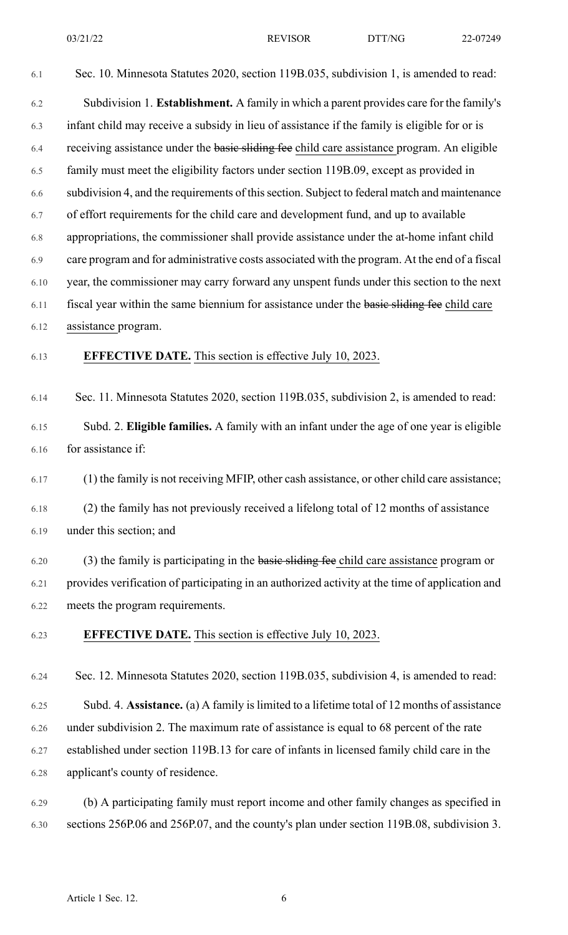6.1 Sec. 10. Minnesota Statutes 2020, section 119B.035, subdivision 1, is amended to read:

6.2 Subdivision 1. **Establishment.** A family in which a parent provides care for the family's 6.3 infant child may receive a subsidy in lieu of assistance if the family is eligible for or is 6.4 receiving assistance under the basic sliding fee child care assistance program. An eligible 6.5 family must meet the eligibility factors under section 119B.09, except as provided in 6.6 subdivision 4, and the requirements of thissection. Subject to federal match and maintenance 6.7 of effort requirements for the child care and development fund, and up to available 6.8 appropriations, the commissioner shall provide assistance under the at-home infant child 6.9 care program and for administrative costs associated with the program. At the end of a fiscal 6.10 year, the commissioner may carry forward any unspent funds under this section to the next 6.11 fiscal year within the same biennium for assistance under the basic sliding fee child care 6.12 assistance program.

#### 6.13 **EFFECTIVE DATE.** This section is effective July 10, 2023.

6.14 Sec. 11. Minnesota Statutes 2020, section 119B.035, subdivision 2, is amended to read:

6.15 Subd. 2. **Eligible families.** A family with an infant under the age of one year is eligible 6.16 for assistance if:

6.17 (1) the family is not receiving MFIP, other cash assistance, or other child care assistance;

6.18 (2) the family has not previously received a lifelong total of 12 months of assistance 6.19 under this section; and

6.20 (3) the family is participating in the basic sliding fee child care assistance program or 6.21 provides verification of participating in an authorized activity at the time of application and 6.22 meets the program requirements.

6.23 **EFFECTIVE DATE.** This section is effective July 10, 2023.

6.24 Sec. 12. Minnesota Statutes 2020, section 119B.035, subdivision 4, is amended to read:

6.25 Subd. 4. **Assistance.** (a) A family islimited to a lifetime total of 12 months of assistance 6.26 under subdivision 2. The maximum rate of assistance is equal to 68 percent of the rate 6.27 established under section 119B.13 for care of infants in licensed family child care in the 6.28 applicant's county of residence.

6.29 (b) A participating family must report income and other family changes as specified in 6.30 sections 256P.06 and 256P.07, and the county's plan under section 119B.08, subdivision 3.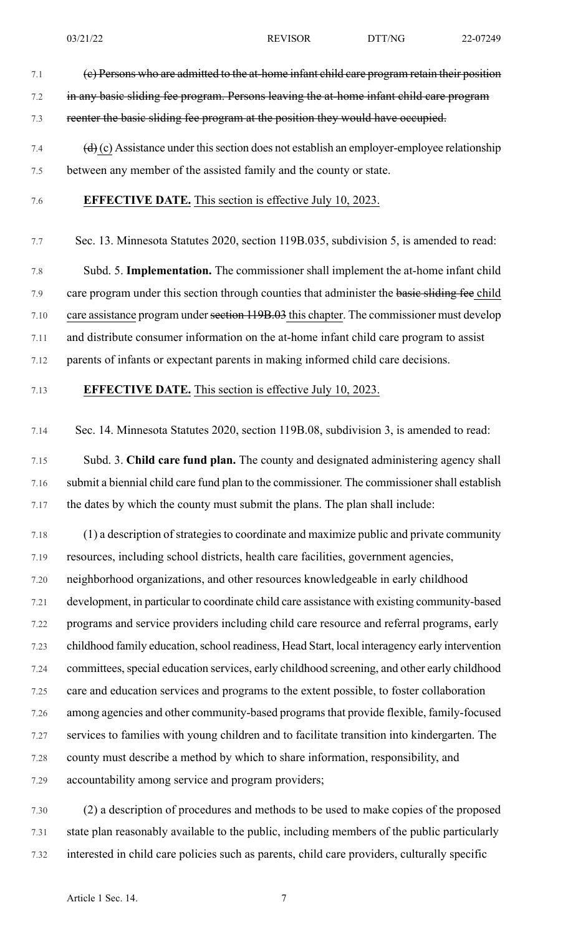- 7.1 (c) Persons who are admitted to the at-home infant child care program retain their position 7.2 in any basic sliding fee program. Persons leaving the at-home infant child care program 7.3 reenter the basic sliding fee program at the position they would have occupied. 7.4  $(d)$  (c) Assistance under this section does not establish an employer-employee relationship
- 7.5 between any member of the assisted family and the county or state.
- 7.6 **EFFECTIVE DATE.** This section is effective July 10, 2023.

7.7 Sec. 13. Minnesota Statutes 2020, section 119B.035, subdivision 5, is amended to read:

7.8 Subd. 5. **Implementation.** The commissioner shall implement the at-home infant child 7.9 care program under this section through counties that administer the basic sliding fee child 7.10 care assistance program under section 119B.03 this chapter. The commissioner must develop 7.11 and distribute consumer information on the at-home infant child care program to assist 7.12 parents of infants or expectant parents in making informed child care decisions.

- 7.13 **EFFECTIVE DATE.** This section is effective July 10, 2023.
- 7.14 Sec. 14. Minnesota Statutes 2020, section 119B.08, subdivision 3, is amended to read:

7.15 Subd. 3. **Child care fund plan.** The county and designated administering agency shall 7.16 submit a biennial child care fund plan to the commissioner. The commissionershall establish 7.17 the dates by which the county must submit the plans. The plan shall include:

7.18 (1) a description of strategies to coordinate and maximize public and private community 7.19 resources, including school districts, health care facilities, government agencies, 7.20 neighborhood organizations, and other resources knowledgeable in early childhood 7.21 development, in particular to coordinate child care assistance with existing community-based 7.22 programs and service providers including child care resource and referral programs, early 7.23 childhood family education, school readiness, Head Start, local interagency early intervention 7.24 committees, special education services, early childhood screening, and other early childhood 7.25 care and education services and programs to the extent possible, to foster collaboration 7.26 among agencies and other community-based programsthat provide flexible, family-focused 7.27 services to families with young children and to facilitate transition into kindergarten. The 7.28 county must describe a method by which to share information, responsibility, and 7.29 accountability among service and program providers;

7.30 (2) a description of procedures and methods to be used to make copies of the proposed 7.31 state plan reasonably available to the public, including members of the public particularly 7.32 interested in child care policies such as parents, child care providers, culturally specific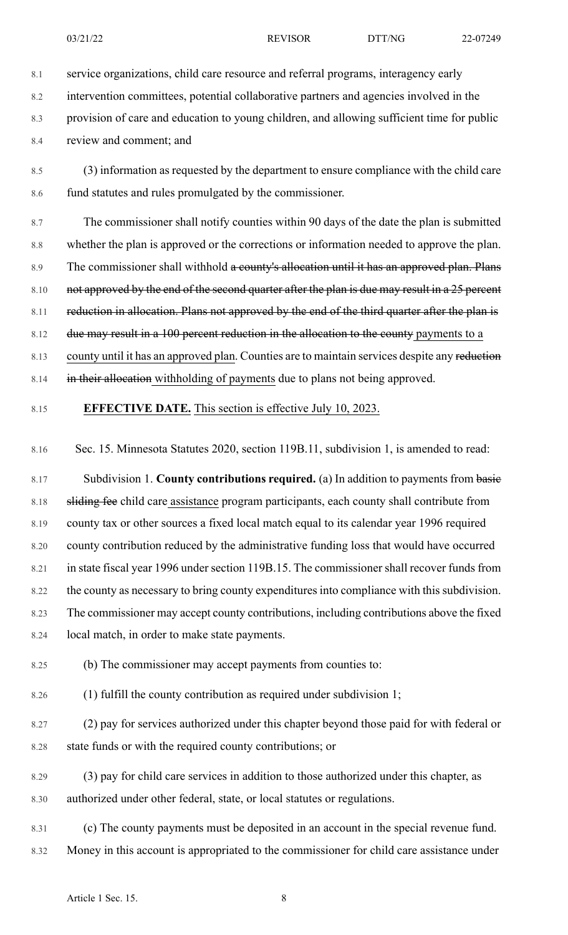8.1 service organizations, child care resource and referral programs, interagency early

8.2 intervention committees, potential collaborative partners and agencies involved in the

8.3 provision of care and education to young children, and allowing sufficient time for public

8.4 review and comment; and

8.5 (3) information as requested by the department to ensure compliance with the child care 8.6 fund statutes and rules promulgated by the commissioner.

8.7 The commissioner shall notify counties within 90 days of the date the plan is submitted 8.8 whether the plan is approved or the corrections or information needed to approve the plan. 8.9 The commissioner shall withhold a county's allocation until it has an approved plan. Plans 8.10 not approved by the end of the second quarter after the plan is due may result in a 25 percent 8.11 reduction in allocation. Plans not approved by the end of the third quarter after the plan is 8.12 due may result in a 100 percent reduction in the allocation to the county payments to a 8.13 county until it has an approved plan. Counties are to maintain services despite any reduction 8.14 in their allocation withholding of payments due to plans not being approved.

#### 8.15 **EFFECTIVE DATE.** This section is effective July 10, 2023.

8.16 Sec. 15. Minnesota Statutes 2020, section 119B.11, subdivision 1, is amended to read:

8.17 Subdivision 1. **County contributions required.** (a) In addition to payments from basic 8.18 sliding fee child care assistance program participants, each county shall contribute from 8.19 county tax or other sources a fixed local match equal to its calendar year 1996 required 8.20 county contribution reduced by the administrative funding loss that would have occurred 8.21 in state fiscal year 1996 under section 119B.15. The commissioner shall recover funds from 8.22 the county as necessary to bring county expenditures into compliance with this subdivision. 8.23 The commissioner may accept county contributions, including contributions above the fixed 8.24 local match, in order to make state payments.

8.25 (b) The commissioner may accept payments from counties to:

8.26 (1) fulfill the county contribution as required under subdivision 1;

8.27 (2) pay for services authorized under this chapter beyond those paid for with federal or 8.28 state funds or with the required county contributions; or

8.29 (3) pay for child care services in addition to those authorized under this chapter, as 8.30 authorized under other federal, state, or local statutes or regulations.

8.31 (c) The county payments must be deposited in an account in the special revenue fund. 8.32 Money in this account is appropriated to the commissioner for child care assistance under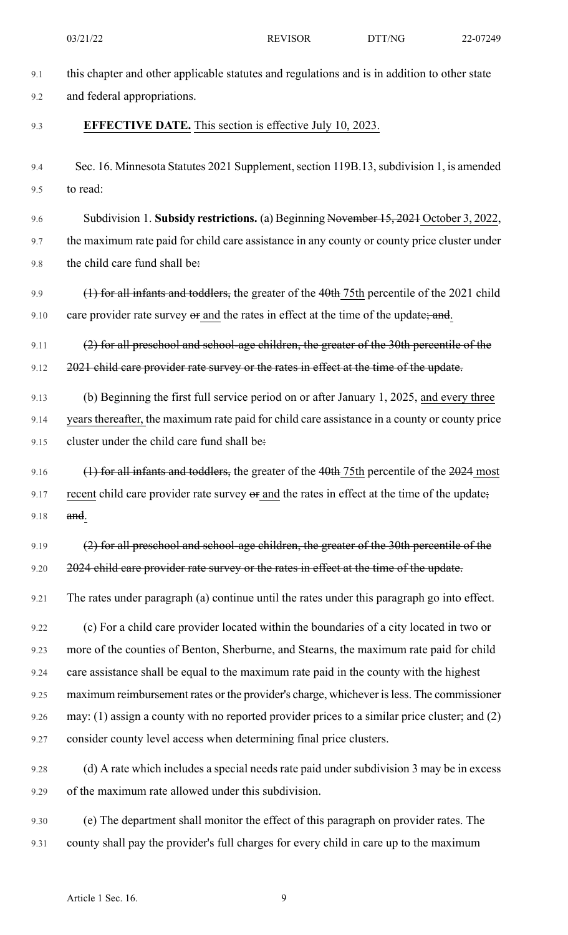| 9.1  | this chapter and other applicable statutes and regulations and is in addition to other state      |
|------|---------------------------------------------------------------------------------------------------|
| 9.2  | and federal appropriations.                                                                       |
| 9.3  | <b>EFFECTIVE DATE.</b> This section is effective July 10, 2023.                                   |
| 9.4  | Sec. 16. Minnesota Statutes 2021 Supplement, section 119B.13, subdivision 1, is amended           |
| 9.5  | to read:                                                                                          |
| 9.6  | Subdivision 1. Subsidy restrictions. (a) Beginning November 15, 2021 October 3, 2022,             |
| 9.7  | the maximum rate paid for child care assistance in any county or county price cluster under       |
| 9.8  | the child care fund shall be:                                                                     |
| 9.9  | (1) for all infants and toddlers, the greater of the 40th 75th percentile of the 2021 child       |
| 9.10 | care provider rate survey or and the rates in effect at the time of the update; and.              |
| 9.11 | $(2)$ for all preschool and school-age children, the greater of the 30th percentile of the        |
| 9.12 | 2021 child care provider rate survey or the rates in effect at the time of the update.            |
| 9.13 | (b) Beginning the first full service period on or after January 1, 2025, and every three          |
| 9.14 | years thereafter, the maximum rate paid for child care assistance in a county or county price     |
| 9.15 | cluster under the child care fund shall be:                                                       |
| 9.16 | $(1)$ for all infants and toddlers, the greater of the 40th 75th percentile of the 2024 most      |
| 9.17 | recent child care provider rate survey or and the rates in effect at the time of the update;      |
| 9.18 | and.                                                                                              |
| 9.19 | (2) for all preschool and school-age children, the greater of the 30th percentile of the          |
| 9.20 | 2024 child care provider rate survey or the rates in effect at the time of the update.            |
| 9.21 | The rates under paragraph (a) continue until the rates under this paragraph go into effect.       |
| 9.22 | (c) For a child care provider located within the boundaries of a city located in two or           |
| 9.23 | more of the counties of Benton, Sherburne, and Stearns, the maximum rate paid for child           |
| 9.24 | care assistance shall be equal to the maximum rate paid in the county with the highest            |
| 9.25 | maximum reimbursement rates or the provider's charge, whichever is less. The commissioner         |
| 9.26 | may: $(1)$ assign a county with no reported provider prices to a similar price cluster; and $(2)$ |
| 9.27 | consider county level access when determining final price clusters.                               |
| 9.28 | (d) A rate which includes a special needs rate paid under subdivision 3 may be in excess          |
| 9.29 | of the maximum rate allowed under this subdivision.                                               |
| 9.30 | (e) The department shall monitor the effect of this paragraph on provider rates. The              |
| 9.31 | county shall pay the provider's full charges for every child in care up to the maximum            |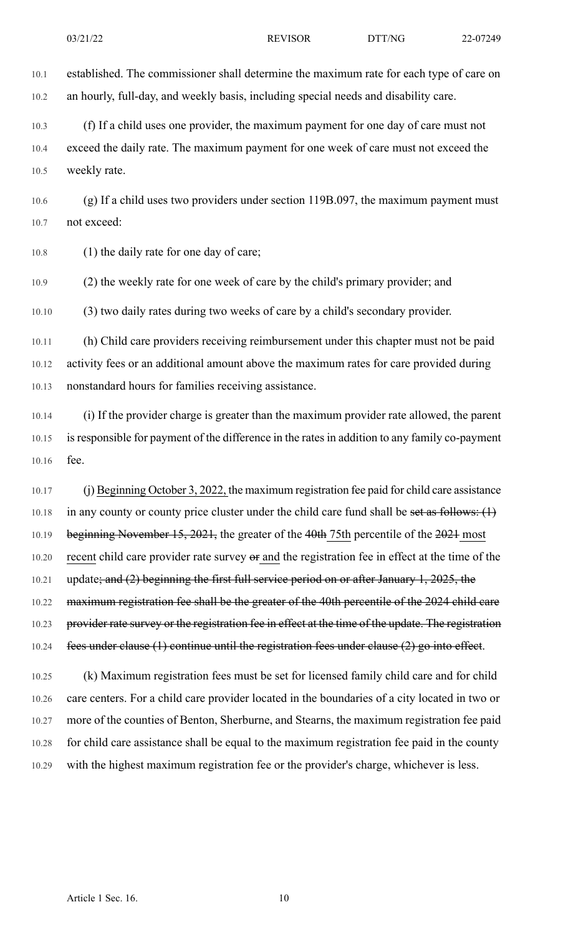10.1 established. The commissioner shall determine the maximum rate for each type of care on 10.2 an hourly, full-day, and weekly basis, including special needs and disability care.

10.3 (f) If a child uses one provider, the maximum payment for one day of care must not 10.4 exceed the daily rate. The maximum payment for one week of care must not exceed the 10.5 weekly rate.

10.6 (g) If a child uses two providers under section 119B.097, the maximum payment must 10.7 not exceed:

10.8 (1) the daily rate for one day of care;

10.9 (2) the weekly rate for one week of care by the child's primary provider; and

10.10 (3) two daily rates during two weeks of care by a child's secondary provider.

10.11 (h) Child care providers receiving reimbursement under this chapter must not be paid 10.12 activity fees or an additional amount above the maximum rates for care provided during 10.13 nonstandard hours for families receiving assistance.

10.14 (i) If the provider charge is greater than the maximum provider rate allowed, the parent 10.15 is responsible for payment of the difference in the rates in addition to any family co-payment 10.16 fee.

10.17 (j) Beginning October 3, 2022, the maximum registration fee paid for child care assistance 10.18 in any county or county price cluster under the child care fund shall be set as follows:  $(1)$ 10.19 beginning November 15, 2021, the greater of the 40th 75th percentile of the 2021 most 10.20 recent child care provider rate survey or and the registration fee in effect at the time of the 10.21 update; and (2) beginning the first full service period on or after January 1, 2025, the 10.22 maximum registration fee shall be the greater of the 40th percentile of the 2024 child care 10.23 provider rate survey or the registration fee in effect at the time of the update. The registration 10.24 fees under clause (1) continue until the registration fees under clause (2) go into effect.

10.25 (k) Maximum registration fees must be set for licensed family child care and for child 10.26 care centers. For a child care provider located in the boundaries of a city located in two or 10.27 more of the counties of Benton, Sherburne, and Stearns, the maximum registration fee paid 10.28 for child care assistance shall be equal to the maximum registration fee paid in the county 10.29 with the highest maximum registration fee or the provider's charge, whichever is less.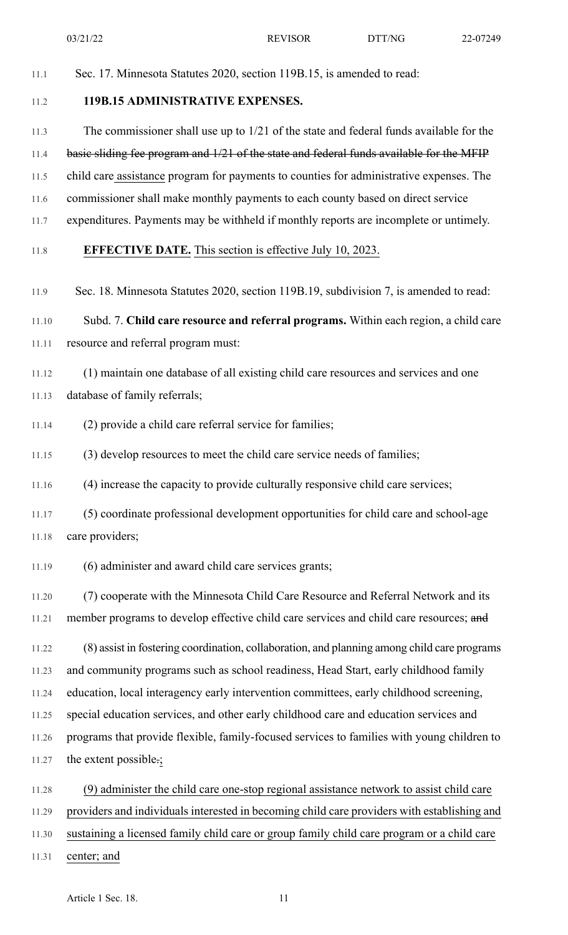03/21/22 REVISOR DTT/NG 22-07249

11.1 Sec. 17. Minnesota Statutes 2020, section 119B.15, is amended to read:

## 11.2 **119B.15 ADMINISTRATIVE EXPENSES.**

11.3 The commissioner shall use up to 1/21 of the state and federal funds available for the

#### 11.4 basic sliding fee program and 1/21 of the state and federal funds available for the MFIP

- 11.5 child care assistance program for payments to counties for administrative expenses. The
- 11.6 commissioner shall make monthly payments to each county based on direct service
- 11.7 expenditures. Payments may be withheld if monthly reports are incomplete or untimely.

#### 11.8 **EFFECTIVE DATE.** This section is effective July 10, 2023.

11.9 Sec. 18. Minnesota Statutes 2020, section 119B.19, subdivision 7, is amended to read:

11.10 Subd. 7. **Child care resource and referral programs.** Within each region, a child care 11.11 resource and referral program must:

- 11.12 (1) maintain one database of all existing child care resources and services and one 11.13 database of family referrals;
- 11.14 (2) provide a child care referral service for families;
- 11.15 (3) develop resources to meet the child care service needs of families;
- 11.16 (4) increase the capacity to provide culturally responsive child care services;
- 11.17 (5) coordinate professional development opportunities for child care and school-age 11.18 care providers;
- 11.19 (6) administer and award child care services grants;

11.20 (7) cooperate with the Minnesota Child Care Resource and Referral Network and its 11.21 member programs to develop effective child care services and child care resources; and

11.22 (8) assist in fostering coordination, collaboration, and planning among child care programs 11.23 and community programs such as school readiness, Head Start, early childhood family 11.24 education, local interagency early intervention committees, early childhood screening, 11.25 special education services, and other early childhood care and education services and 11.26 programs that provide flexible, family-focused services to families with young children to 11.27 the extent possible.;

- 11.28 (9) administer the child care one-stop regional assistance network to assist child care
- 11.29 providers and individuals interested in becoming child care providers with establishing and
- 11.30 sustaining a licensed family child care or group family child care program or a child care
- 11.31 center; and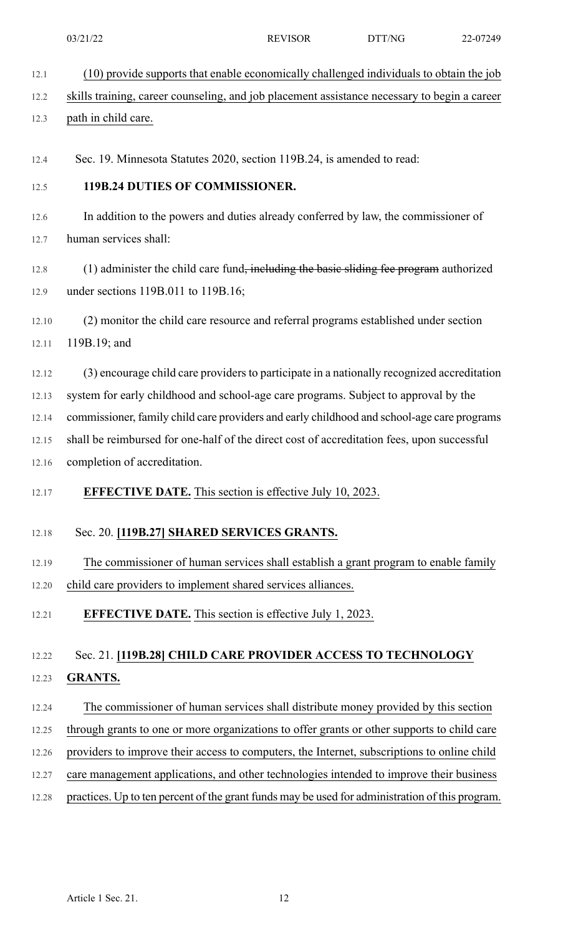12.1 (10) provide supports that enable economically challenged individuals to obtain the job

### 12.2 skills training, career counseling, and job placement assistance necessary to begin a career

### 12.3 path in child care.

12.4 Sec. 19. Minnesota Statutes 2020, section 119B.24, is amended to read:

### 12.5 **119B.24 DUTIES OF COMMISSIONER.**

12.6 In addition to the powers and duties already conferred by law, the commissioner of 12.7 human services shall:

12.8 (1) administer the child care fund<del>, including the basic sliding fee program</del> authorized 12.9 under sections 119B.011 to 119B.16;

12.10 (2) monitor the child care resource and referral programs established under section 12.11 119B.19; and

12.12 (3) encourage child care providers to participate in a nationally recognized accreditation

12.13 system for early childhood and school-age care programs. Subject to approval by the

12.14 commissioner, family child care providers and early childhood and school-age care programs

12.15 shall be reimbursed for one-half of the direct cost of accreditation fees, upon successful 12.16 completion of accreditation.

### 12.17 **EFFECTIVE DATE.** This section is effective July 10, 2023.

### 12.18 Sec. 20. **[119B.27] SHARED SERVICES GRANTS.**

12.19 The commissioner of human services shall establish a grant program to enable family

12.20 child care providers to implement shared services alliances.

12.21 **EFFECTIVE DATE.** This section is effective July 1, 2023.

# 12.22 Sec. 21. **[119B.28] CHILD CARE PROVIDER ACCESS TO TECHNOLOGY** 12.23 **GRANTS.**

12.24 The commissioner of human services shall distribute money provided by this section 12.25 through grants to one or more organizations to offer grants or other supports to child care 12.26 providers to improve their access to computers, the Internet, subscriptions to online child 12.27 care management applications, and other technologies intended to improve their business 12.28 practices. Up to ten percent of the grant funds may be used for administration of this program.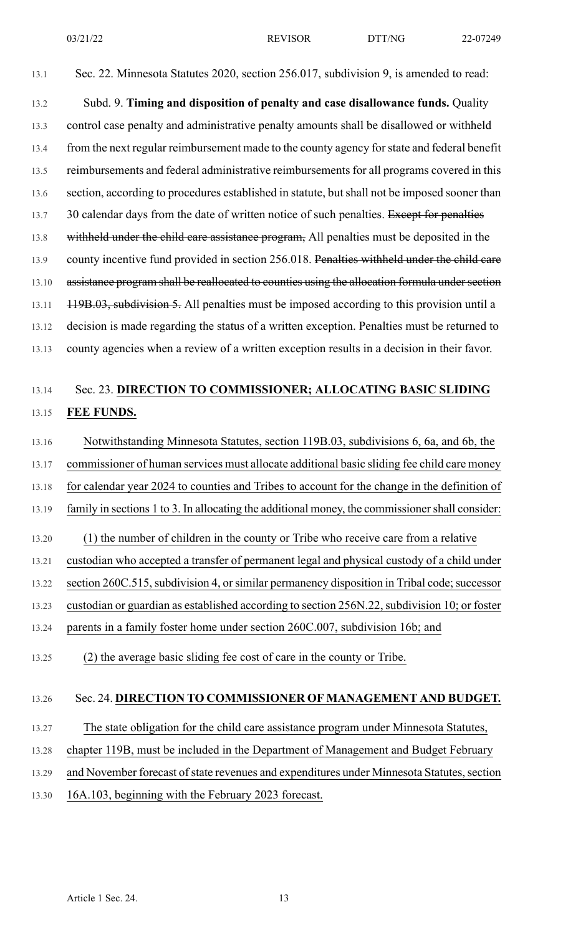13.1 Sec. 22. Minnesota Statutes 2020, section 256.017, subdivision 9, is amended to read:

13.2 Subd. 9. **Timing and disposition of penalty and case disallowance funds.** Quality 13.3 control case penalty and administrative penalty amounts shall be disallowed or withheld 13.4 from the next regular reimbursement made to the county agency forstate and federal benefit 13.5 reimbursements and federal administrative reimbursements for all programs covered in this 13.6 section, according to procedures established in statute, but shall not be imposed sooner than 13.7 30 calendar days from the date of written notice of such penalties. Except for penalties 13.8 with held under the child care assistance program, All penalties must be deposited in the 13.9 county incentive fund provided in section 256.018. Penalties withheld under the child care 13.10 assistance program shall be reallocated to counties using the allocation formula under section 13.11 119B.03, subdivision 5. All penalties must be imposed according to this provision until a 13.12 decision is made regarding the status of a written exception. Penalties must be returned to 13.13 county agencies when a review of a written exception results in a decision in their favor.

# 13.14 Sec. 23. **DIRECTION TO COMMISSIONER; ALLOCATING BASIC SLIDING** 13.15 **FEE FUNDS.**

# 13.16 Notwithstanding Minnesota Statutes, section 119B.03, subdivisions 6, 6a, and 6b, the 13.17 commissioner of human services must allocate additional basic sliding fee child care money 13.18 for calendar year 2024 to counties and Tribes to account for the change in the definition of 13.19 family in sections 1 to 3. In allocating the additional money, the commissionershall consider: 13.20 (1) the number of children in the county or Tribe who receive care from a relative 13.21 custodian who accepted a transfer of permanent legal and physical custody of a child under 13.22 section 260C.515, subdivision 4, or similar permanency disposition in Tribal code; successor 13.23 custodian or guardian as established according to section 256N.22, subdivision 10; or foster 13.24 parents in a family foster home under section 260C.007, subdivision 16b; and 13.25 (2) the average basic sliding fee cost of care in the county or Tribe.

### 13.26 Sec. 24. **DIRECTION TO COMMISSIONER OF MANAGEMENT AND BUDGET.**

- 13.27 The state obligation for the child care assistance program under Minnesota Statutes,
- 13.28 chapter 119B, must be included in the Department of Management and Budget February
- 13.29 and November forecast of state revenues and expenditures under Minnesota Statutes, section
- 13.30 16A.103, beginning with the February 2023 forecast.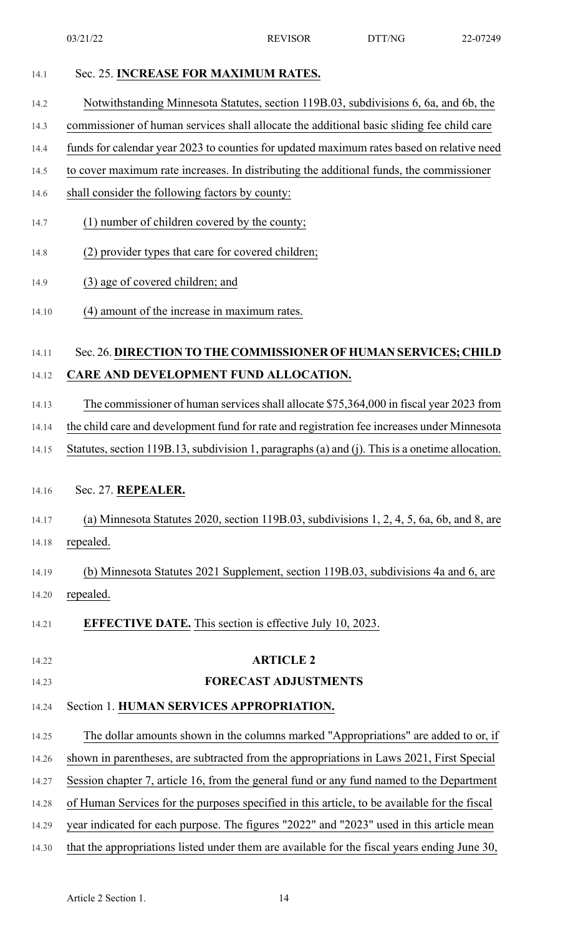#### 14.1 Sec. 25. **INCREASE FOR MAXIMUM RATES.**

#### 14.2 Notwithstanding Minnesota Statutes, section 119B.03, subdivisions 6, 6a, and 6b, the

14.3 commissioner of human services shall allocate the additional basic sliding fee child care

- 14.4 funds for calendar year 2023 to counties for updated maximum rates based on relative need
- 14.5 to cover maximum rate increases. In distributing the additional funds, the commissioner
- 14.6 shall consider the following factors by county:
- 14.7 (1) number of children covered by the county;
- 14.8 (2) provider types that care for covered children;
- 14.9 (3) age of covered children; and
- 14.10 (4) amount of the increase in maximum rates.

# 14.11 Sec. 26. **DIRECTION TO THE COMMISSIONER OF HUMAN SERVICES; CHILD** 14.12 **CARE AND DEVELOPMENT FUND ALLOCATION.**

- 14.13 The commissioner of human services shall allocate \$75,364,000 in fiscal year 2023 from
- 14.14 the child care and development fund for rate and registration fee increases under Minnesota
- 14.15 Statutes, section 119B.13, subdivision 1, paragraphs (a) and (j). This is a onetime allocation.

### 14.16 Sec. 27. **REPEALER.**

# 14.17 (a) Minnesota Statutes 2020, section 119B.03, subdivisions 1, 2, 4, 5, 6a, 6b, and 8, are 14.18 repealed.

- 14.19 (b) Minnesota Statutes 2021 Supplement, section 119B.03, subdivisions 4a and 6, are 14.20 repealed.
- 14.21 **EFFECTIVE DATE.** This section is effective July 10, 2023.

### 14.22 **ARTICLE 2**

### 14.23 **FORECAST ADJUSTMENTS**

- 14.24 Section 1. **HUMAN SERVICES APPROPRIATION.**
- 14.25 The dollar amounts shown in the columns marked "Appropriations" are added to or, if
- 14.26 shown in parentheses, are subtracted from the appropriations in Laws 2021, First Special
- 14.27 Session chapter 7, article 16, from the general fund or any fund named to the Department
- 14.28 of Human Services for the purposes specified in this article, to be available for the fiscal
- 14.29 year indicated for each purpose. The figures "2022" and "2023" used in this article mean
- 14.30 that the appropriations listed under them are available for the fiscal years ending June 30,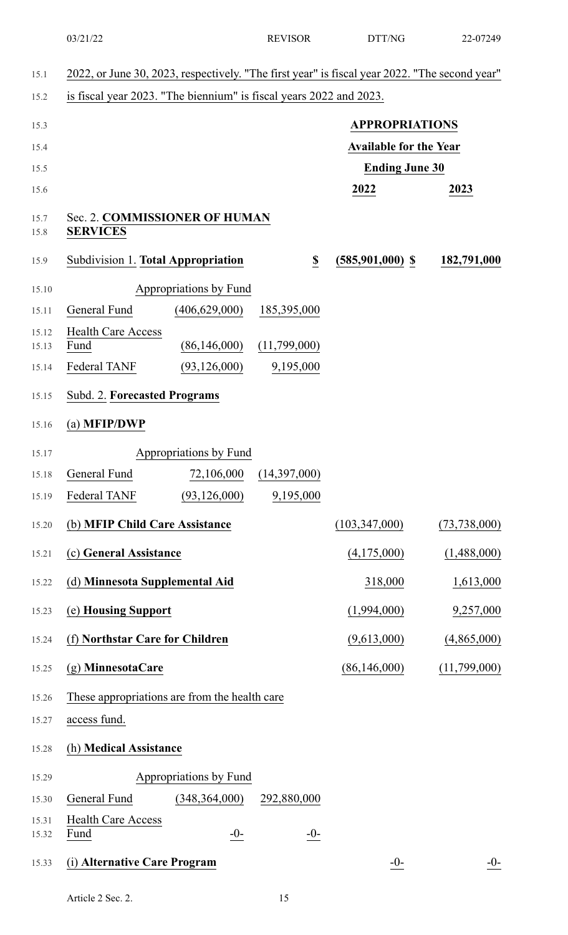| 15.1           | 2022, or June 30, 2023, respectively. "The first year" is fiscal year 2022. "The second year" |              |                               |                |
|----------------|-----------------------------------------------------------------------------------------------|--------------|-------------------------------|----------------|
| 15.2           | is fiscal year 2023. "The biennium" is fiscal years 2022 and 2023.                            |              |                               |                |
| 15.3           |                                                                                               |              | <b>APPROPRIATIONS</b>         |                |
| 15.4           |                                                                                               |              | <b>Available for the Year</b> |                |
| 15.5           |                                                                                               |              | <b>Ending June 30</b>         |                |
| 15.6           |                                                                                               |              | 2022                          | 2023           |
| 15.7<br>15.8   | Sec. 2. COMMISSIONER OF HUMAN<br><b>SERVICES</b>                                              |              |                               |                |
| 15.9           | Subdivision 1. Total Appropriation                                                            | \$           | $(585,901,000)$ \$            | 182,791,000    |
| 15.10          | Appropriations by Fund                                                                        |              |                               |                |
| 15.11          | General Fund<br>(406, 629, 000)                                                               | 185,395,000  |                               |                |
| 15.12<br>15.13 | <b>Health Care Access</b><br>(86, 146, 000)<br>Fund                                           | (11,799,000) |                               |                |
| 15.14          | Federal TANF<br>(93, 126, 000)                                                                | 9,195,000    |                               |                |
| 15.15          | Subd. 2. Forecasted Programs                                                                  |              |                               |                |
| 15.16          | $(a)$ MFIP/DWP                                                                                |              |                               |                |
| 15.17          | Appropriations by Fund                                                                        |              |                               |                |
| 15.18          | General Fund<br>72,106,000                                                                    | (14,397,000) |                               |                |
| 15.19          | Federal TANF<br>(93, 126, 000)                                                                | 9,195,000    |                               |                |
| 15.20          | (b) MFIP Child Care Assistance                                                                |              | (103, 347, 000)               | (73, 738, 000) |
| 15.21          | (c) General Assistance                                                                        |              | (4,175,000)                   | (1,488,000)    |
| 15.22          | (d) Minnesota Supplemental Aid                                                                |              | 318,000                       | 1,613,000      |
| 15.23          | (e) Housing Support                                                                           |              | (1,994,000)                   | 9,257,000      |
| 15.24          | (f) Northstar Care for Children                                                               |              | (9,613,000)                   | (4,865,000)    |
| 15.25          | (g) MinnesotaCare                                                                             |              | (86, 146, 000)                | (11,799,000)   |
| 15.26          | These appropriations are from the health care                                                 |              |                               |                |
| 15.27          | access fund.                                                                                  |              |                               |                |
| 15.28          | (h) Medical Assistance                                                                        |              |                               |                |
| 15.29          | Appropriations by Fund                                                                        |              |                               |                |
| 15.30          | General Fund<br>(348, 364, 000)                                                               | 292,880,000  |                               |                |
| 15.31<br>15.32 | <b>Health Care Access</b><br>Fund<br>$-0-$                                                    | $-0-$        |                               |                |
| 15.33          | (i) Alternative Care Program                                                                  |              | $-0-$                         | <u>-0-</u>     |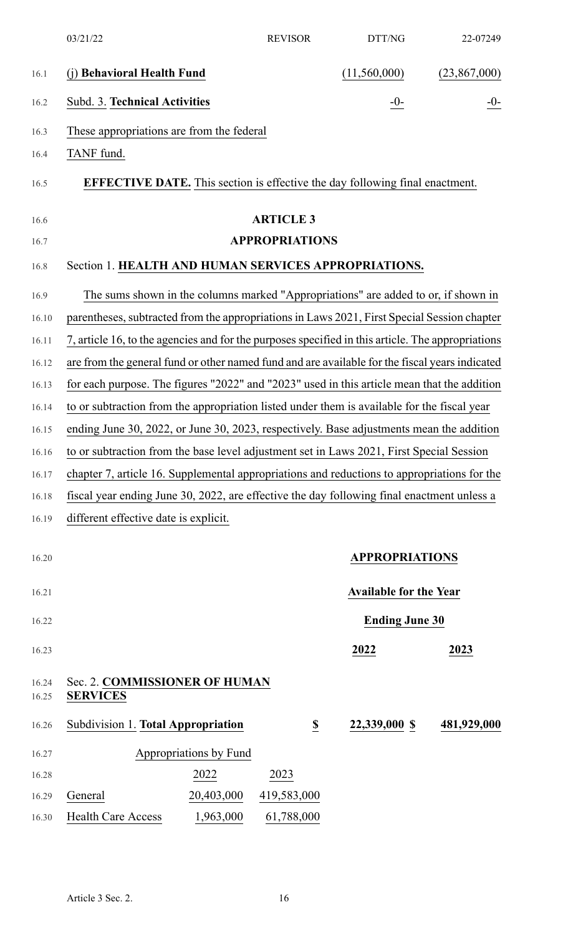|                | 03/21/22                                                                                          | <b>REVISOR</b>          | DTT/NG                        | 22-07249     |
|----------------|---------------------------------------------------------------------------------------------------|-------------------------|-------------------------------|--------------|
| 16.1           | (j) Behavioral Health Fund                                                                        |                         | (11,560,000)                  | (23,867,000) |
| 16.2           | Subd. 3. Technical Activities                                                                     |                         | $-0-$                         | -0-          |
| 16.3           | These appropriations are from the federal                                                         |                         |                               |              |
| 16.4           | TANF fund.                                                                                        |                         |                               |              |
| 16.5           | <b>EFFECTIVE DATE.</b> This section is effective the day following final enactment.               |                         |                               |              |
| 16.6           |                                                                                                   | <b>ARTICLE 3</b>        |                               |              |
| 16.7           |                                                                                                   | <b>APPROPRIATIONS</b>   |                               |              |
| 16.8           | Section 1. HEALTH AND HUMAN SERVICES APPROPRIATIONS.                                              |                         |                               |              |
| 16.9           | The sums shown in the columns marked "Appropriations" are added to or, if shown in                |                         |                               |              |
| 16.10          | parentheses, subtracted from the appropriations in Laws 2021, First Special Session chapter       |                         |                               |              |
| 16.11          | 7, article 16, to the agencies and for the purposes specified in this article. The appropriations |                         |                               |              |
| 16.12          | are from the general fund or other named fund and are available for the fiscal years indicated    |                         |                               |              |
| 16.13          | for each purpose. The figures "2022" and "2023" used in this article mean that the addition       |                         |                               |              |
| 16.14          | to or subtraction from the appropriation listed under them is available for the fiscal year       |                         |                               |              |
| 16.15          | ending June 30, 2022, or June 30, 2023, respectively. Base adjustments mean the addition          |                         |                               |              |
| 16.16          | to or subtraction from the base level adjustment set in Laws 2021, First Special Session          |                         |                               |              |
| 16.17          | chapter 7, article 16. Supplemental appropriations and reductions to appropriations for the       |                         |                               |              |
| 16.18          | fiscal year ending June 30, 2022, are effective the day following final enactment unless a        |                         |                               |              |
| 16.19          | different effective date is explicit.                                                             |                         |                               |              |
| 16.20          |                                                                                                   |                         | <b>APPROPRIATIONS</b>         |              |
| 16.21          |                                                                                                   |                         | <b>Available for the Year</b> |              |
| 16.22          |                                                                                                   |                         | <b>Ending June 30</b>         |              |
| 16.23          |                                                                                                   |                         | 2022                          | 2023         |
| 16.24<br>16.25 | Sec. 2. COMMISSIONER OF HUMAN<br><b>SERVICES</b>                                                  |                         |                               |              |
| 16.26          | Subdivision 1. Total Appropriation                                                                | $\overline{\mathbb{S}}$ | 22,339,000 \$                 | 481,929,000  |
| 16.27          | Appropriations by Fund                                                                            |                         |                               |              |
| 16.28          | 2022                                                                                              | 2023                    |                               |              |
| 16.29          | General<br>20,403,000                                                                             | 419,583,000             |                               |              |
| 16.30          | <b>Health Care Access</b><br>1,963,000                                                            | 61,788,000              |                               |              |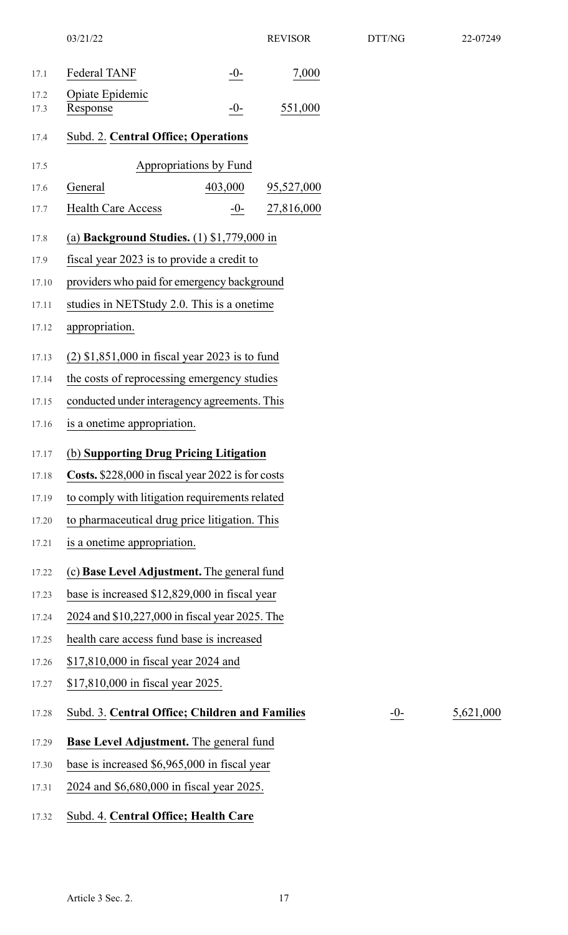|       | 03/21/22                                           |         | <b>REVISOR</b> | DTT/NG | 22-07249  |
|-------|----------------------------------------------------|---------|----------------|--------|-----------|
| 17.1  | Federal TANF                                       | $-0-$   | 7,000          |        |           |
| 17.2  | Opiate Epidemic                                    |         |                |        |           |
| 17.3  | Response                                           | $-0-$   | 551,000        |        |           |
| 17.4  | Subd. 2. Central Office; Operations                |         |                |        |           |
| 17.5  | Appropriations by Fund                             |         |                |        |           |
| 17.6  | General                                            | 403,000 | 95,527,000     |        |           |
| 17.7  | <b>Health Care Access</b>                          | $-0-$   | 27,816,000     |        |           |
| 17.8  | (a) Background Studies. $(1)$ \$1,779,000 in       |         |                |        |           |
| 17.9  | fiscal year 2023 is to provide a credit to         |         |                |        |           |
| 17.10 | providers who paid for emergency background        |         |                |        |           |
| 17.11 | studies in NETStudy 2.0. This is a onetime         |         |                |        |           |
| 17.12 | appropriation.                                     |         |                |        |           |
| 17.13 | $(2)$ \$1,851,000 in fiscal year 2023 is to fund   |         |                |        |           |
| 17.14 | the costs of reprocessing emergency studies        |         |                |        |           |
| 17.15 | conducted under interagency agreements. This       |         |                |        |           |
| 17.16 | is a onetime appropriation.                        |         |                |        |           |
| 17.17 | (b) Supporting Drug Pricing Litigation             |         |                |        |           |
| 17.18 | Costs. \$228,000 in fiscal year 2022 is for costs  |         |                |        |           |
| 17.19 | to comply with litigation requirements related     |         |                |        |           |
| 17.20 | to pharmaceutical drug price litigation. This      |         |                |        |           |
| 17.21 | is a onetime appropriation.                        |         |                |        |           |
| 17.22 | (c) <b>Base Level Adjustment.</b> The general fund |         |                |        |           |
| 17.23 | base is increased \$12,829,000 in fiscal year      |         |                |        |           |
| 17.24 | 2024 and \$10,227,000 in fiscal year 2025. The     |         |                |        |           |
| 17.25 | health care access fund base is increased          |         |                |        |           |
| 17.26 | \$17,810,000 in fiscal year 2024 and               |         |                |        |           |
| 17.27 | \$17,810,000 in fiscal year 2025.                  |         |                |        |           |
| 17.28 | Subd. 3. Central Office; Children and Families     |         |                | $-0-$  | 5,621,000 |
| 17.29 | <b>Base Level Adjustment.</b> The general fund     |         |                |        |           |
| 17.30 | base is increased \$6,965,000 in fiscal year       |         |                |        |           |
| 17.31 | 2024 and \$6,680,000 in fiscal year 2025.          |         |                |        |           |
| 17.32 | Subd. 4. Central Office; Health Care               |         |                |        |           |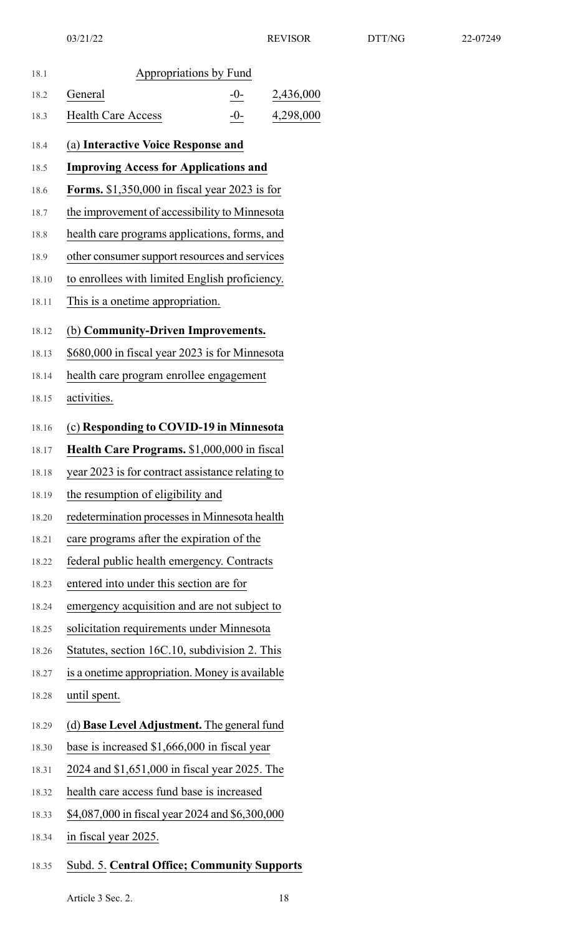| 18.1  | Appropriations by Fund                               |       |           |
|-------|------------------------------------------------------|-------|-----------|
| 18.2  | General                                              | $-0-$ | 2,436,000 |
| 18.3  | <b>Health Care Access</b>                            | $-0-$ | 4,298,000 |
| 18.4  | (a) Interactive Voice Response and                   |       |           |
| 18.5  | <b>Improving Access for Applications and</b>         |       |           |
| 18.6  | <b>Forms.</b> \$1,350,000 in fiscal year 2023 is for |       |           |
| 18.7  | the improvement of accessibility to Minnesota        |       |           |
| 18.8  | health care programs applications, forms, and        |       |           |
| 18.9  | other consumer support resources and services        |       |           |
| 18.10 | to enrollees with limited English proficiency.       |       |           |
| 18.11 | This is a onetime appropriation.                     |       |           |
| 18.12 | (b) Community-Driven Improvements.                   |       |           |
| 18.13 | \$680,000 in fiscal year 2023 is for Minnesota       |       |           |
| 18.14 | health care program enrollee engagement              |       |           |
| 18.15 | activities.                                          |       |           |
| 18.16 | (c) Responding to COVID-19 in Minnesota              |       |           |
| 18.17 | Health Care Programs. \$1,000,000 in fiscal          |       |           |
| 18.18 | year 2023 is for contract assistance relating to     |       |           |
| 18.19 | the resumption of eligibility and                    |       |           |
| 18.20 | redetermination processes in Minnesota health        |       |           |
| 18.21 | care programs after the expiration of the            |       |           |
| 18.22 | federal public health emergency. Contracts           |       |           |
| 18.23 | entered into under this section are for              |       |           |
| 18.24 | emergency acquisition and are not subject to         |       |           |
| 18.25 | solicitation requirements under Minnesota            |       |           |
| 18.26 | Statutes, section 16C.10, subdivision 2. This        |       |           |
| 18.27 | is a onetime appropriation. Money is available       |       |           |
| 18.28 | until spent.                                         |       |           |
| 18.29 | (d) Base Level Adjustment. The general fund          |       |           |
| 18.30 | base is increased \$1,666,000 in fiscal year         |       |           |
| 18.31 | 2024 and \$1,651,000 in fiscal year 2025. The        |       |           |
| 18.32 | health care access fund base is increased            |       |           |
| 18.33 | \$4,087,000 in fiscal year 2024 and \$6,300,000      |       |           |
| 18.34 | in fiscal year 2025.                                 |       |           |
|       |                                                      |       |           |

# 18.35 Subd. 5. **Central Office; Community Supports**

Article 3 Sec. 2. 18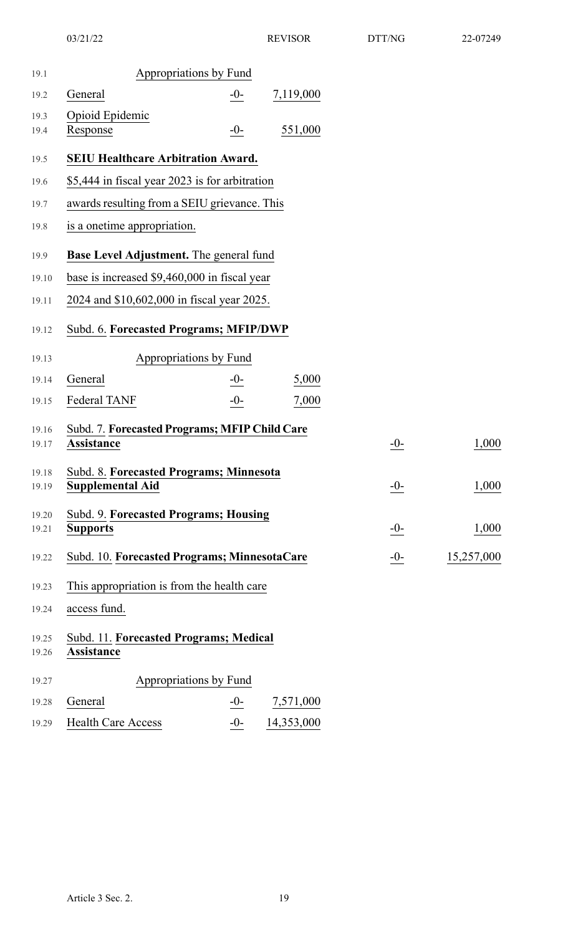| 19.1           | Appropriations by Fund                                             |        |            |       |            |
|----------------|--------------------------------------------------------------------|--------|------------|-------|------------|
| 19.2           | General                                                            | $-0-$  | 7,119,000  |       |            |
| 19.3<br>19.4   | Opioid Epidemic<br>Response                                        | $-0-$  | 551,000    |       |            |
| 19.5           | <b>SEIU Healthcare Arbitration Award.</b>                          |        |            |       |            |
| 19.6           | \$5,444 in fiscal year 2023 is for arbitration                     |        |            |       |            |
| 19.7           | awards resulting from a SEIU grievance. This                       |        |            |       |            |
| 19.8           | is a onetime appropriation.                                        |        |            |       |            |
| 19.9           | <b>Base Level Adjustment.</b> The general fund                     |        |            |       |            |
| 19.10          | base is increased \$9,460,000 in fiscal year                       |        |            |       |            |
| 19.11          | 2024 and \$10,602,000 in fiscal year 2025.                         |        |            |       |            |
| 19.12          | Subd. 6. Forecasted Programs; MFIP/DWP                             |        |            |       |            |
| 19.13          | Appropriations by Fund                                             |        |            |       |            |
| 19.14          | General                                                            | $-0$ - | 5,000      |       |            |
| 19.15          | Federal TANF                                                       | $-0-$  | 7,000      |       |            |
| 19.16<br>19.17 | Subd. 7. Forecasted Programs; MFIP Child Care<br><b>Assistance</b> |        |            | $-0-$ | 1,000      |
| 19.18<br>19.19 | Subd. 8. Forecasted Programs; Minnesota<br><b>Supplemental Aid</b> |        |            | $-0-$ | 1,000      |
| 19.20<br>19.21 | Subd. 9. Forecasted Programs; Housing<br><b>Supports</b>           |        |            | $-0-$ | 1,000      |
| 19.22          | Subd. 10. Forecasted Programs; MinnesotaCare                       |        |            | $-0-$ | 15,257,000 |
| 19.23          | This appropriation is from the health care                         |        |            |       |            |
| 19.24          | access fund.                                                       |        |            |       |            |
| 19.25<br>19.26 | Subd. 11. Forecasted Programs; Medical<br><b>Assistance</b>        |        |            |       |            |
| 19.27          | Appropriations by Fund                                             |        |            |       |            |
| 19.28          | General                                                            | $-0-$  | 7,571,000  |       |            |
| 19.29          | <b>Health Care Access</b>                                          | $-0-$  | 14,353,000 |       |            |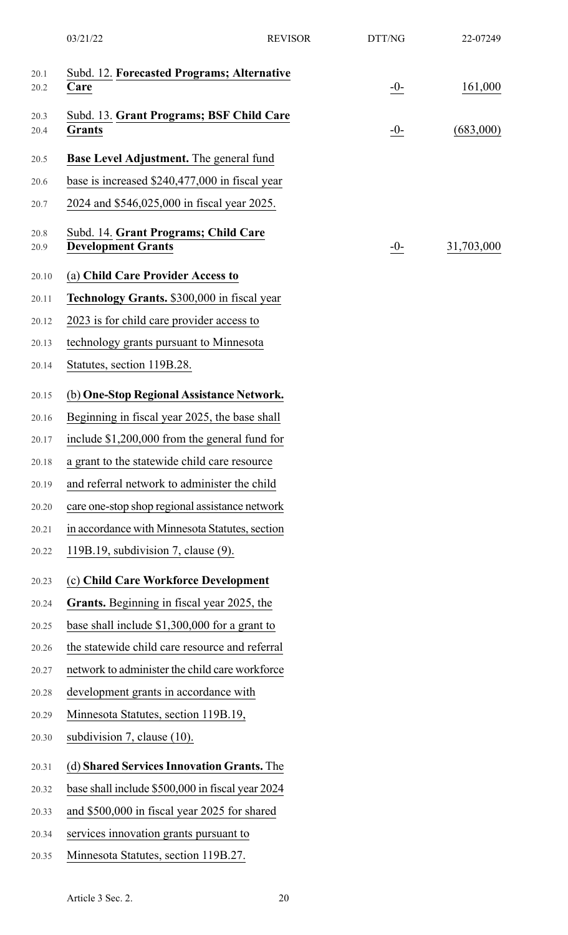|              | 03/21/22                                                          | <b>REVISOR</b> | DTT/NG | 22-07249   |
|--------------|-------------------------------------------------------------------|----------------|--------|------------|
| 20.1<br>20.2 | Subd. 12. Forecasted Programs; Alternative<br>Care                |                | $-0-$  | 161,000    |
|              | Subd. 13. Grant Programs; BSF Child Care                          |                |        |            |
| 20.3<br>20.4 | <b>Grants</b>                                                     |                | $-0-$  | (683,000)  |
| 20.5         | Base Level Adjustment. The general fund                           |                |        |            |
| 20.6         | base is increased \$240,477,000 in fiscal year                    |                |        |            |
| 20.7         | 2024 and \$546,025,000 in fiscal year 2025.                       |                |        |            |
| 20.8<br>20.9 | Subd. 14. Grant Programs; Child Care<br><b>Development Grants</b> |                | $-0-$  | 31,703,000 |
| 20.10        | (a) Child Care Provider Access to                                 |                |        |            |
| 20.11        | <b>Technology Grants.</b> \$300,000 in fiscal year                |                |        |            |
| 20.12        | 2023 is for child care provider access to                         |                |        |            |
| 20.13        | technology grants pursuant to Minnesota                           |                |        |            |
| 20.14        | Statutes, section 119B.28.                                        |                |        |            |
| 20.15        | (b) One-Stop Regional Assistance Network.                         |                |        |            |
| 20.16        | Beginning in fiscal year 2025, the base shall                     |                |        |            |
| 20.17        | include $$1,200,000$ from the general fund for                    |                |        |            |
| 20.18        | a grant to the statewide child care resource                      |                |        |            |
| 20.19        | and referral network to administer the child                      |                |        |            |
| 20.20        | care one-stop shop regional assistance network                    |                |        |            |
| 20.21        | in accordance with Minnesota Statutes, section                    |                |        |            |
| 20.22        | 119B.19, subdivision 7, clause (9).                               |                |        |            |
| 20.23        | (c) Child Care Workforce Development                              |                |        |            |
| 20.24        | Grants. Beginning in fiscal year 2025, the                        |                |        |            |
| 20.25        | base shall include $$1,300,000$ for a grant to                    |                |        |            |
| 20.26        | the statewide child care resource and referral                    |                |        |            |
| 20.27        | network to administer the child care workforce                    |                |        |            |
| 20.28        | development grants in accordance with                             |                |        |            |
| 20.29        | Minnesota Statutes, section 119B.19,                              |                |        |            |
| 20.30        | subdivision 7, clause (10).                                       |                |        |            |
| 20.31        | (d) Shared Services Innovation Grants. The                        |                |        |            |
| 20.32        | base shall include \$500,000 in fiscal year 2024                  |                |        |            |
| 20.33        | and \$500,000 in fiscal year 2025 for shared                      |                |        |            |
| 20.34        | services innovation grants pursuant to                            |                |        |            |
| 20.35        | Minnesota Statutes, section 119B.27.                              |                |        |            |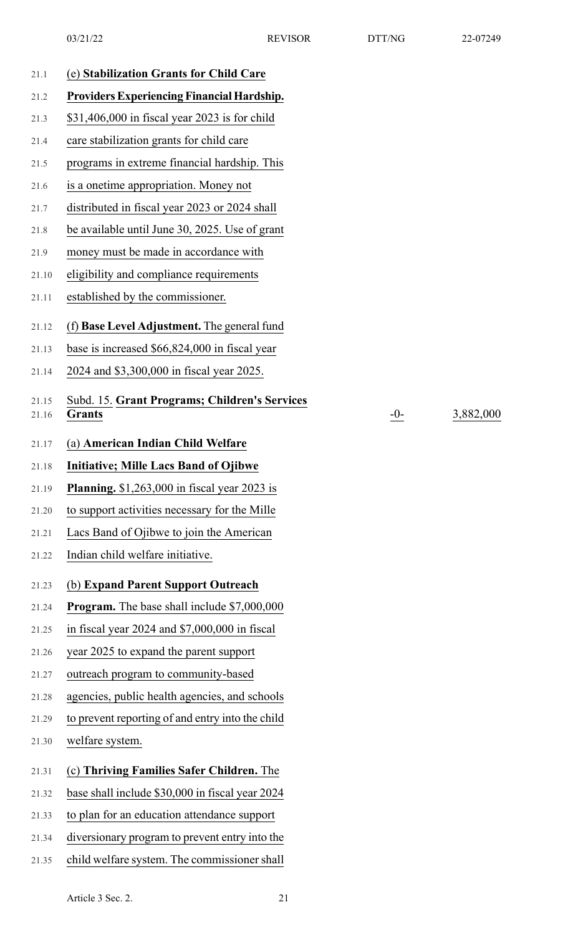| 21.1           | (e) Stabilization Grants for Child Care                        |
|----------------|----------------------------------------------------------------|
| 21.2           | <b>Providers Experiencing Financial Hardship.</b>              |
| 21.3           | \$31,406,000 in fiscal year 2023 is for child                  |
| 21.4           | care stabilization grants for child care                       |
| 21.5           | programs in extreme financial hardship. This                   |
| 21.6           | is a onetime appropriation. Money not                          |
| 21.7           | distributed in fiscal year 2023 or 2024 shall                  |
| 21.8           | be available until June 30, 2025. Use of grant                 |
| 21.9           | money must be made in accordance with                          |
| 21.10          | eligibility and compliance requirements                        |
| 21.11          | established by the commissioner.                               |
| 21.12          | (f) Base Level Adjustment. The general fund                    |
| 21.13          | base is increased \$66,824,000 in fiscal year                  |
| 21.14          | 2024 and \$3,300,000 in fiscal year 2025.                      |
| 21.15<br>21.16 | Subd. 15. Grant Programs; Children's Services<br><b>Grants</b> |
| 21.17          | (a) American Indian Child Welfare                              |
| 21.18          | <b>Initiative; Mille Lacs Band of Ojibwe</b>                   |
| 21.19          | <b>Planning.</b> $$1,263,000$ in fiscal year 2023 is           |
| 21.20          | to support activities necessary for the Mille                  |
| 21.21          | Lacs Band of Ojibwe to join the American                       |
| 21.22          | Indian child welfare initiative.                               |
| 21.23          | (b) Expand Parent Support Outreach                             |
| 21.24          | <b>Program.</b> The base shall include \$7,000,000             |
| 21.25          | in fiscal year 2024 and \$7,000,000 in fiscal                  |
| 21.26          | year 2025 to expand the parent support                         |
| 21.27          | outreach program to community-based                            |
| 21.28          | agencies, public health agencies, and schools                  |
| 21.29          | to prevent reporting of and entry into the child               |
| 21.30          | welfare system.                                                |
| 21.31          | (c) Thriving Families Safer Children. The                      |
| 21.32          | base shall include \$30,000 in fiscal year 2024                |
| 21.33          | to plan for an education attendance support                    |
| 21.34          | diversionary program to prevent entry into the                 |
| 21.35          | child welfare system. The commissioner shall                   |

 $-0$ - $\frac{3,882,000}{ }$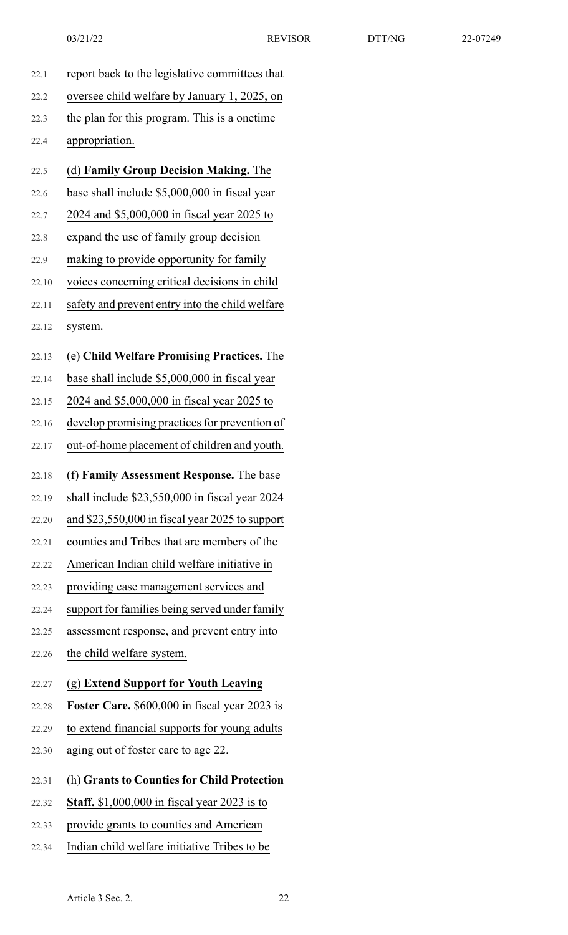| 22.1  | report back to the legislative committees that      |
|-------|-----------------------------------------------------|
| 22.2  | oversee child welfare by January 1, 2025, on        |
| 22.3  | the plan for this program. This is a onetime        |
| 22.4  | appropriation.                                      |
| 22.5  | (d) Family Group Decision Making. The               |
| 22.6  | base shall include \$5,000,000 in fiscal year       |
| 22.7  | 2024 and \$5,000,000 in fiscal year 2025 to         |
| 22.8  | expand the use of family group decision             |
| 22.9  | making to provide opportunity for family            |
| 22.10 | voices concerning critical decisions in child       |
| 22.11 | safety and prevent entry into the child welfare     |
| 22.12 | system.                                             |
| 22.13 | (e) Child Welfare Promising Practices. The          |
| 22.14 | base shall include \$5,000,000 in fiscal year       |
| 22.15 | 2024 and \$5,000,000 in fiscal year 2025 to         |
| 22.16 | develop promising practices for prevention of       |
| 22.17 | out-of-home placement of children and youth.        |
|       |                                                     |
| 22.18 | (f) Family Assessment Response. The base            |
| 22.19 | shall include \$23,550,000 in fiscal year 2024      |
| 22.20 | and \$23,550,000 in fiscal year 2025 to support     |
| 22.21 | counties and Tribes that are members of the         |
| 22.22 | American Indian child welfare initiative in         |
| 22.23 | providing case management services and              |
| 22.24 | support for families being served under family      |
| 22.25 | assessment response, and prevent entry into         |
| 22.26 | the child welfare system.                           |
| 22.27 | (g) Extend Support for Youth Leaving                |
| 22.28 | Foster Care. \$600,000 in fiscal year 2023 is       |
| 22.29 | to extend financial supports for young adults       |
| 22.30 | aging out of foster care to age 22.                 |
| 22.31 | (h) Grants to Counties for Child Protection         |
| 22.32 | <b>Staff.</b> \$1,000,000 in fiscal year 2023 is to |
| 22.33 | provide grants to counties and American             |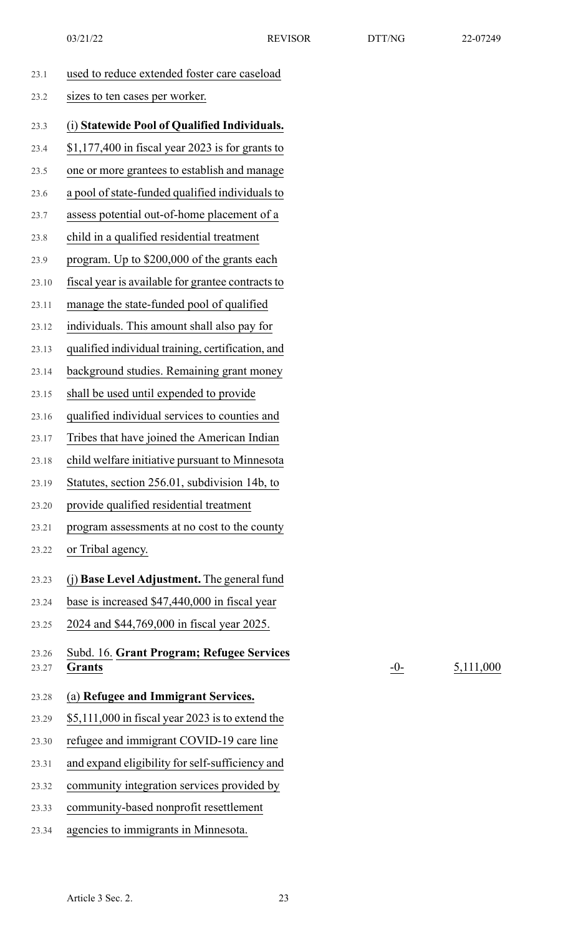| 23.1           | used to reduce extended foster care caseload        |
|----------------|-----------------------------------------------------|
| 23.2           | sizes to ten cases per worker.                      |
| 23.3           | (i) Statewide Pool of Qualified Individuals.        |
| 23.4           | $$1,177,400$ in fiscal year 2023 is for grants to   |
| 23.5           | one or more grantees to establish and manage        |
| 23.6           | a pool of state-funded qualified individuals to     |
| 23.7           | assess potential out-of-home placement of a         |
| 23.8           | child in a qualified residential treatment          |
| 23.9           | program. Up to \$200,000 of the grants each         |
| 23.10          | fiscal year is available for grantee contracts to   |
| 23.11          | manage the state-funded pool of qualified           |
| 23.12          | individuals. This amount shall also pay for         |
| 23.13          | qualified individual training, certification, and   |
| 23.14          | background studies. Remaining grant money           |
| 23.15          | shall be used until expended to provide             |
| 23.16          | qualified individual services to counties and       |
| 23.17          | Tribes that have joined the American Indian         |
| 23.18          | child welfare initiative pursuant to Minnesota      |
| 23.19          | Statutes, section 256.01, subdivision 14b, to       |
| 23.20          | provide qualified residential treatment             |
| 23.21          | program assessments at no cost to the county        |
| 23.22          | or Tribal agency.                                   |
| 23.23          | (j) Base Level Adjustment. The general fund         |
| 23.24          | base is increased \$47,440,000 in fiscal year       |
| 23.25          | 2024 and \$44,769,000 in fiscal year 2025.          |
| 23.26<br>23.27 | Subd. 16. Grant Program; Refugee Services<br>Grants |
| 23.28          | (a) Refugee and Immigrant Services.                 |
| 23.29          | \$5,111,000 in fiscal year 2023 is to extend the    |
| 23.30          | refugee and immigrant COVID-19 care line            |
| 23.31          | and expand eligibility for self-sufficiency and     |
| 23.32          | community integration services provided by          |
| 23.33          | community-based nonprofit resettlement              |

23.34 agencies to immigrants in Minnesota.

 $-0$ - $\frac{5,111,000}{ }$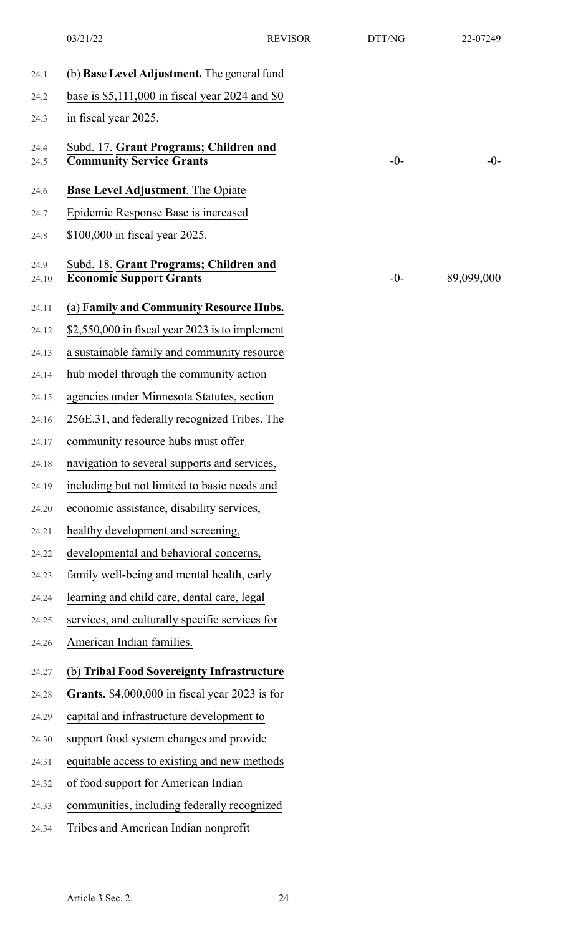|               | 03/21/22                                                                  | <b>REVISOR</b> | DTT/NG | 22-07249   |
|---------------|---------------------------------------------------------------------------|----------------|--------|------------|
| 24.1          | (b) <b>Base Level Adjustment.</b> The general fund                        |                |        |            |
| 24.2          | base is $$5,111,000$ in fiscal year 2024 and $$0$                         |                |        |            |
| 24.3          | in fiscal year 2025.                                                      |                |        |            |
| 24.4<br>24.5  | Subd. 17. Grant Programs; Children and<br><b>Community Service Grants</b> |                | $-0-$  | $-0-$      |
| 24.6          | <b>Base Level Adjustment.</b> The Opiate                                  |                |        |            |
| 24.7          | Epidemic Response Base is increased                                       |                |        |            |
| 24.8          | \$100,000 in fiscal year 2025.                                            |                |        |            |
| 24.9<br>24.10 | Subd. 18. Grant Programs; Children and<br><b>Economic Support Grants</b>  |                | $-0-$  | 89,099,000 |
| 24.11         | (a) Family and Community Resource Hubs.                                   |                |        |            |
| 24.12         | $$2,550,000$ in fiscal year 2023 is to implement                          |                |        |            |
| 24.13         | a sustainable family and community resource                               |                |        |            |
| 24.14         | hub model through the community action                                    |                |        |            |
| 24.15         | agencies under Minnesota Statutes, section                                |                |        |            |
| 24.16         | 256E.31, and federally recognized Tribes. The                             |                |        |            |
| 24.17         | community resource hubs must offer                                        |                |        |            |
| 24.18         | navigation to several supports and services,                              |                |        |            |
| 24.19         | including but not limited to basic needs and                              |                |        |            |
| 24.20         | economic assistance, disability services,                                 |                |        |            |
| 24.21         | healthy development and screening,                                        |                |        |            |
| 24.22         | developmental and behavioral concerns,                                    |                |        |            |
| 24.23         | family well-being and mental health, early                                |                |        |            |
| 24.24         | learning and child care, dental care, legal                               |                |        |            |
| 24.25         | services, and culturally specific services for                            |                |        |            |
| 24.26         | American Indian families.                                                 |                |        |            |
| 24.27         | (b) Tribal Food Sovereignty Infrastructure                                |                |        |            |
| 24.28         | Grants. \$4,000,000 in fiscal year 2023 is for                            |                |        |            |
| 24.29         | capital and infrastructure development to                                 |                |        |            |
| 24.30         | support food system changes and provide                                   |                |        |            |
| 24.31         | equitable access to existing and new methods                              |                |        |            |
| 24.32         | of food support for American Indian                                       |                |        |            |
| 24.33         | communities, including federally recognized                               |                |        |            |
| 24.34         | Tribes and American Indian nonprofit                                      |                |        |            |
|               |                                                                           |                |        |            |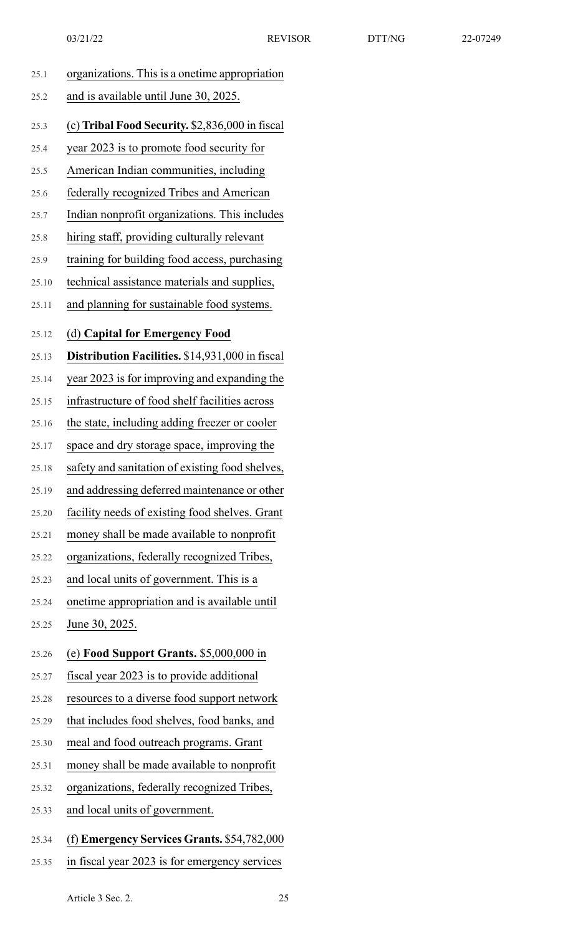|       | 03/21/22                                        | <b>REVISOR</b> | DTT/NG | 22-07249 |
|-------|-------------------------------------------------|----------------|--------|----------|
| 25.1  | organizations. This is a onetime appropriation  |                |        |          |
| 25.2  | and is available until June 30, 2025.           |                |        |          |
| 25.3  | (c) Tribal Food Security. \$2,836,000 in fiscal |                |        |          |
| 25.4  | year 2023 is to promote food security for       |                |        |          |
| 25.5  | American Indian communities, including          |                |        |          |
| 25.6  | federally recognized Tribes and American        |                |        |          |
| 25.7  | Indian nonprofit organizations. This includes   |                |        |          |
| 25.8  | hiring staff, providing culturally relevant     |                |        |          |
| 25.9  | training for building food access, purchasing   |                |        |          |
| 25.10 | technical assistance materials and supplies,    |                |        |          |
| 25.11 | and planning for sustainable food systems.      |                |        |          |
| 25.12 | (d) Capital for Emergency Food                  |                |        |          |
| 25.13 | Distribution Facilities. \$14,931,000 in fiscal |                |        |          |
| 25.14 | year 2023 is for improving and expanding the    |                |        |          |
| 25.15 | infrastructure of food shelf facilities across  |                |        |          |
| 25.16 | the state, including adding freezer or cooler   |                |        |          |
| 25.17 | space and dry storage space, improving the      |                |        |          |
| 25.18 | safety and sanitation of existing food shelves, |                |        |          |
| 25.19 | and addressing deferred maintenance or other    |                |        |          |
| 25.20 | facility needs of existing food shelves. Grant  |                |        |          |
| 25.21 | money shall be made available to nonprofit      |                |        |          |
| 25.22 | organizations, federally recognized Tribes,     |                |        |          |
| 25.23 | and local units of government. This is a        |                |        |          |
| 25.24 | onetime appropriation and is available until    |                |        |          |
| 25.25 | June 30, 2025.                                  |                |        |          |
| 25.26 | (e) Food Support Grants. \$5,000,000 in         |                |        |          |
| 25.27 | fiscal year 2023 is to provide additional       |                |        |          |
| 25.28 | resources to a diverse food support network     |                |        |          |
| 25.29 | that includes food shelves, food banks, and     |                |        |          |
| 25.30 | meal and food outreach programs. Grant          |                |        |          |

- 25.31 money shall be made available to nonprofit
- 25.32 organizations, federally recognized Tribes,
- 25.33 and local units of government.
- 25.34 (f) **Emergency Services Grants.** \$54,782,000
- 25.35 in fiscal year 2023 is for emergency services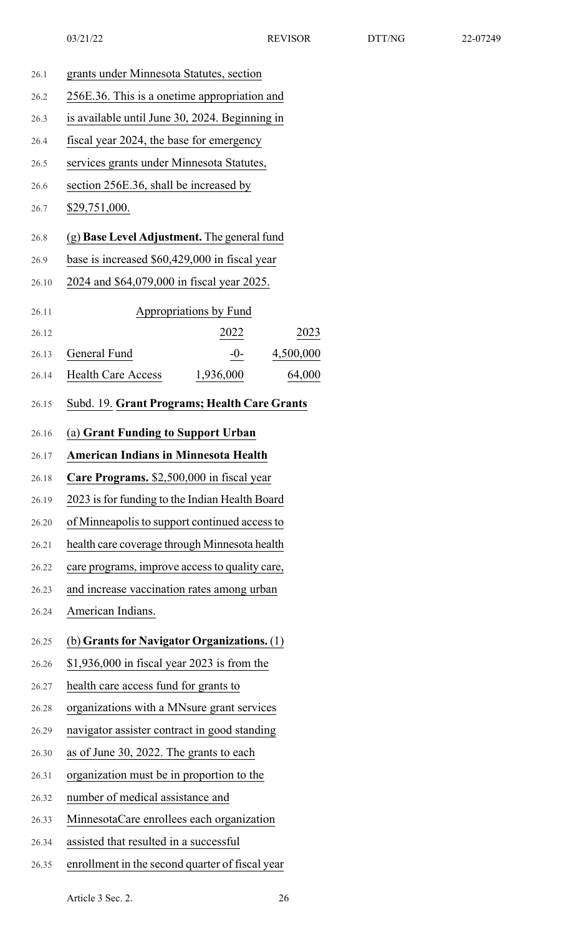| 26.1  | grants under Minnesota Statutes, section         |  |  |
|-------|--------------------------------------------------|--|--|
| 26.2  | 256E.36. This is a onetime appropriation and     |  |  |
| 26.3  | is available until June 30, 2024. Beginning in   |  |  |
| 26.4  | fiscal year 2024, the base for emergency         |  |  |
| 26.5  | services grants under Minnesota Statutes,        |  |  |
| 26.6  | section 256E.36, shall be increased by           |  |  |
| 26.7  | \$29,751,000.                                    |  |  |
| 26.8  | (g) Base Level Adjustment. The general fund      |  |  |
| 26.9  | base is increased \$60,429,000 in fiscal year    |  |  |
| 26.10 | 2024 and \$64,079,000 in fiscal year 2025.       |  |  |
| 26.11 | <b>Appropriations by Fund</b>                    |  |  |
| 26.12 | 2022<br>2023                                     |  |  |
| 26.13 | General Fund<br>$-0-$<br>4,500,000               |  |  |
| 26.14 | <b>Health Care Access</b><br>1,936,000<br>64,000 |  |  |
| 26.15 | Subd. 19. Grant Programs; Health Care Grants     |  |  |
| 26.16 | (a) Grant Funding to Support Urban               |  |  |
| 26.17 | <b>American Indians in Minnesota Health</b>      |  |  |
| 26.18 | Care Programs. \$2,500,000 in fiscal year        |  |  |
| 26.19 | 2023 is for funding to the Indian Health Board   |  |  |
| 26.20 | of Minneapolis to support continued access to    |  |  |
| 26.21 | health care coverage through Minnesota health    |  |  |
| 26.22 | care programs, improve access to quality care,   |  |  |
| 26.23 | and increase vaccination rates among urban       |  |  |
| 26.24 | American Indians.                                |  |  |
| 26.25 | (b) Grants for Navigator Organizations. (1)      |  |  |
| 26.26 | $$1,936,000$ in fiscal year 2023 is from the     |  |  |
| 26.27 | health care access fund for grants to            |  |  |
| 26.28 | organizations with a MNsure grant services       |  |  |
| 26.29 | navigator assister contract in good standing     |  |  |
| 26.30 | as of June 30, 2022. The grants to each          |  |  |
| 26.31 | organization must be in proportion to the        |  |  |
| 26.32 | number of medical assistance and                 |  |  |
| 26.33 | MinnesotaCare enrollees each organization        |  |  |
| 26.34 | assisted that resulted in a successful           |  |  |
| 26.35 | enrollment in the second quarter of fiscal year  |  |  |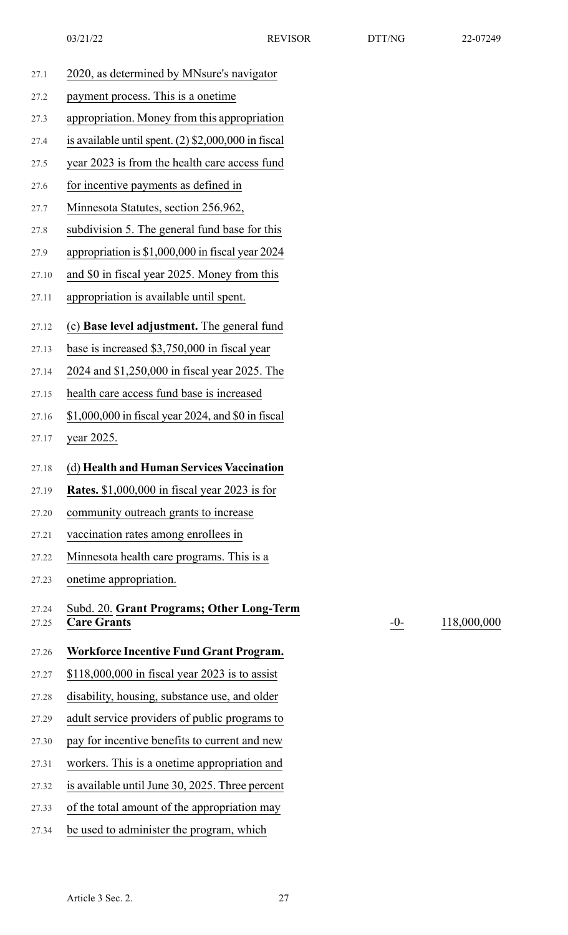| 27.1  | 2020, as determined by MNsure's navigator             |
|-------|-------------------------------------------------------|
| 27.2  | payment process. This is a onetime                    |
| 27.3  | appropriation. Money from this appropriation          |
| 27.4  | is available until spent. $(2)$ \$2,000,000 in fiscal |
| 27.5  | year 2023 is from the health care access fund         |
| 27.6  | for incentive payments as defined in                  |
| 27.7  | Minnesota Statutes, section 256.962,                  |
| 27.8  | subdivision 5. The general fund base for this         |
| 27.9  | appropriation is \$1,000,000 in fiscal year 2024      |
| 27.10 | and \$0 in fiscal year 2025. Money from this          |
| 27.11 | appropriation is available until spent.               |
| 27.12 | (c) Base level adjustment. The general fund           |
| 27.13 | base is increased \$3,750,000 in fiscal year          |
| 27.14 | 2024 and \$1,250,000 in fiscal year 2025. The         |
| 27.15 | health care access fund base is increased             |
| 27.16 | \$1,000,000 in fiscal year 2024, and \$0 in fiscal    |
| 27.17 | year 2025.                                            |
| 27.18 | (d) Health and Human Services Vaccination             |
| 27.19 | <b>Rates.</b> \$1,000,000 in fiscal year 2023 is for  |
| 27.20 | community outreach grants to increase                 |
| 27.21 | vaccination rates among enrollees in                  |
| 27.22 | Minnesota health care programs. This is a             |
| 27.23 | onetime appropriation.                                |
| 27.24 | Subd. 20. Grant Programs; Other Long-Term             |
| 27.25 | <b>Care Grants</b>                                    |
| 27.26 | <b>Workforce Incentive Fund Grant Program.</b>        |
| 27.27 | $$118,000,000$ in fiscal year 2023 is to assist       |
| 27.28 | disability, housing, substance use, and older         |
| 27.29 | adult service providers of public programs to         |
| 27.30 | pay for incentive benefits to current and new         |
| 27.31 | workers. This is a onetime appropriation and          |
| 27.32 | is available until June 30, 2025. Three percent       |
| 27.33 | of the total amount of the appropriation may          |

27.34 be used to administer the program, which

-0- 118,000,000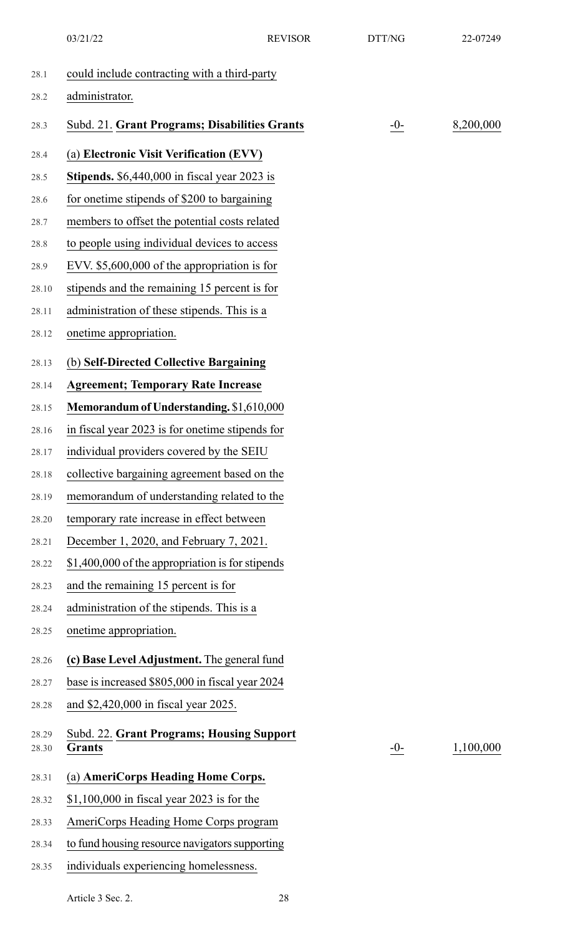|                | 03/21/22                                                          | <b>REVISOR</b> | DTT/NG | 22-07249  |
|----------------|-------------------------------------------------------------------|----------------|--------|-----------|
| 28.1           | could include contracting with a third-party                      |                |        |           |
| 28.2           | administrator.                                                    |                |        |           |
| 28.3           | Subd. 21. Grant Programs; Disabilities Grants                     |                | $-0-$  | 8,200,000 |
| 28.4           | (a) Electronic Visit Verification (EVV)                           |                |        |           |
| 28.5           | <b>Stipends.</b> $$6,440,000$ in fiscal year 2023 is              |                |        |           |
| 28.6           | for one time stipends of \$200 to bargaining                      |                |        |           |
| 28.7           | members to offset the potential costs related                     |                |        |           |
| 28.8           | to people using individual devices to access                      |                |        |           |
| 28.9           | EVV. $$5,600,000$ of the appropriation is for                     |                |        |           |
| 28.10          | stipends and the remaining 15 percent is for                      |                |        |           |
| 28.11          | administration of these stipends. This is a                       |                |        |           |
| 28.12          | onetime appropriation.                                            |                |        |           |
| 28.13          | (b) Self-Directed Collective Bargaining                           |                |        |           |
| 28.14          | <b>Agreement; Temporary Rate Increase</b>                         |                |        |           |
| 28.15          | Memorandum of Understanding. \$1,610,000                          |                |        |           |
| 28.16          | in fiscal year 2023 is for onetime stipends for                   |                |        |           |
| 28.17          | individual providers covered by the SEIU                          |                |        |           |
| 28.18          | collective bargaining agreement based on the                      |                |        |           |
| 28.19          | memorandum of understanding related to the                        |                |        |           |
| 28.20          | temporary rate increase in effect between                         |                |        |           |
| 28.21          | December 1, 2020, and February 7, 2021.                           |                |        |           |
| 28.22          | \$1,400,000 of the appropriation is for stipends                  |                |        |           |
| 28.23          | and the remaining 15 percent is for                               |                |        |           |
| 28.24          | administration of the stipends. This is a                         |                |        |           |
| 28.25          | onetime appropriation.                                            |                |        |           |
| 28.26          | (c) Base Level Adjustment. The general fund                       |                |        |           |
| 28.27          | base is increased \$805,000 in fiscal year 2024                   |                |        |           |
| 28.28          | and \$2,420,000 in fiscal year 2025.                              |                |        |           |
| 28.29<br>28.30 | <b>Subd. 22. Grant Programs; Housing Support</b><br><b>Grants</b> |                | $-0-$  | 1,100,000 |
| 28.31          | (a) AmeriCorps Heading Home Corps.                                |                |        |           |
| 28.32          | $$1,100,000$ in fiscal year 2023 is for the                       |                |        |           |
| 28.33          | AmeriCorps Heading Home Corps program                             |                |        |           |
| 28.34          | to fund housing resource navigators supporting                    |                |        |           |
| 28.35          | individuals experiencing homelessness.                            |                |        |           |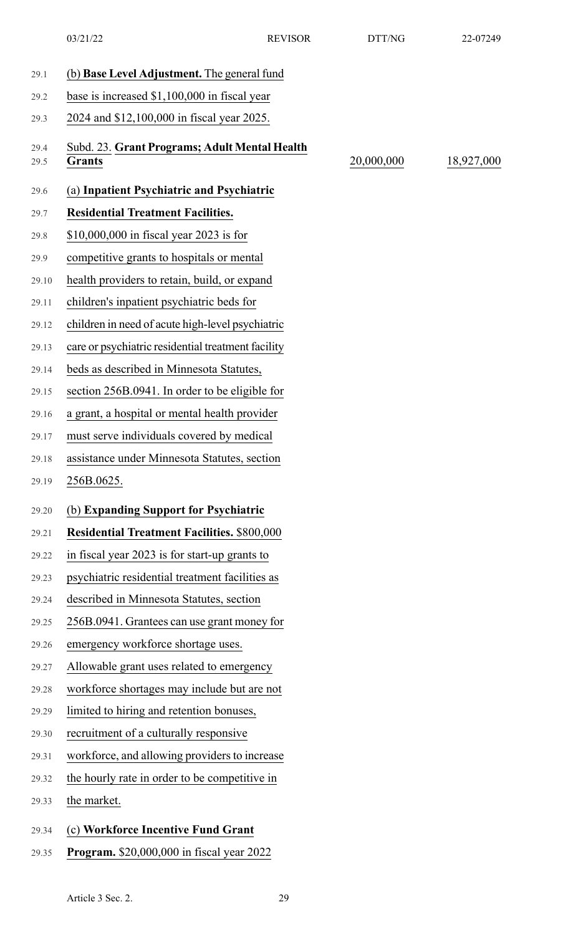03/21/22 REVISOR DTT/NG 22-07249

| 29.1         | (b) Base Level Adjustment. The general fund             |            |            |
|--------------|---------------------------------------------------------|------------|------------|
| 29.2         | base is increased \$1,100,000 in fiscal year            |            |            |
| 29.3         | 2024 and \$12,100,000 in fiscal year 2025.              |            |            |
| 29.4<br>29.5 | Subd. 23. Grant Programs; Adult Mental Health<br>Grants | 20,000,000 | 18,927,000 |
| 29.6         | (a) Inpatient Psychiatric and Psychiatric               |            |            |
| 29.7         | <b>Residential Treatment Facilities.</b>                |            |            |
| 29.8         | $$10,000,000$ in fiscal year 2023 is for                |            |            |
| 29.9         | competitive grants to hospitals or mental               |            |            |
| 29.10        | health providers to retain, build, or expand            |            |            |
| 29.11        | children's inpatient psychiatric beds for               |            |            |
| 29.12        | children in need of acute high-level psychiatric        |            |            |
| 29.13        | care or psychiatric residential treatment facility      |            |            |
| 29.14        | beds as described in Minnesota Statutes,                |            |            |
| 29.15        | section 256B.0941. In order to be eligible for          |            |            |
| 29.16        | a grant, a hospital or mental health provider           |            |            |
| 29.17        | must serve individuals covered by medical               |            |            |
| 29.18        | assistance under Minnesota Statutes, section            |            |            |
| 29.19        | 256B.0625.                                              |            |            |
| 29.20        | (b) Expanding Support for Psychiatric                   |            |            |
| 29.21        | <b>Residential Treatment Facilities. \$800,000</b>      |            |            |
| 29.22        | in fiscal year 2023 is for start-up grants to           |            |            |
| 29.23        | psychiatric residential treatment facilities as         |            |            |
| 29.24        | described in Minnesota Statutes, section                |            |            |
| 29.25        | 256B.0941. Grantees can use grant money for             |            |            |
| 29.26        | emergency workforce shortage uses.                      |            |            |
| 29.27        | Allowable grant uses related to emergency               |            |            |
| 29.28        | workforce shortages may include but are not             |            |            |
| 29.29        | limited to hiring and retention bonuses,                |            |            |
| 29.30        | recruitment of a culturally responsive                  |            |            |
| 29.31        | workforce, and allowing providers to increase           |            |            |
| 29.32        | the hourly rate in order to be competitive in           |            |            |
| 29.33        | the market.                                             |            |            |
| 29.34        | (c) Workforce Incentive Fund Grant                      |            |            |
|              | <b>Program.</b> \$20,000,000 in fiscal year 2022        |            |            |
| 29.35        |                                                         |            |            |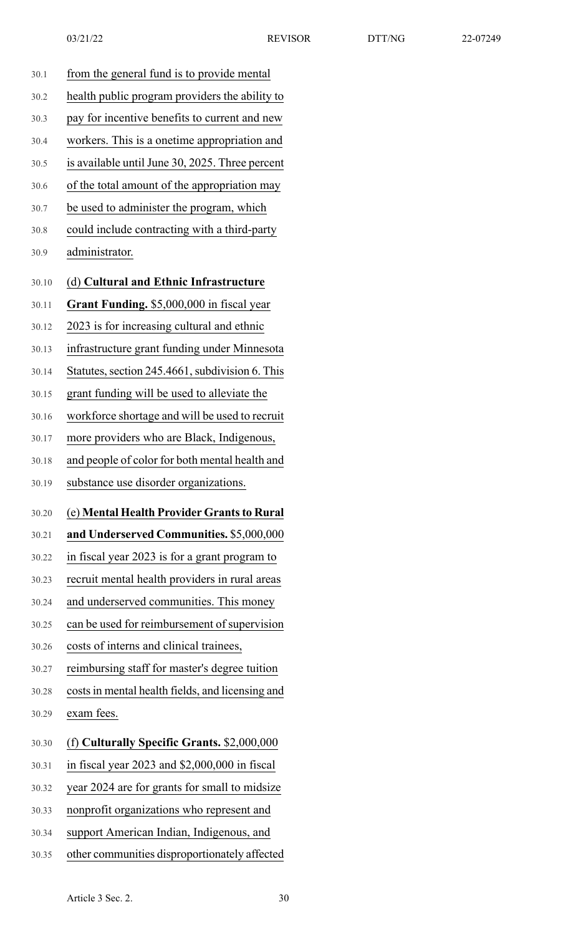| 30.1  | from the general fund is to provide mental       |
|-------|--------------------------------------------------|
| 30.2  | health public program providers the ability to   |
| 30.3  | pay for incentive benefits to current and new    |
| 30.4  | workers. This is a onetime appropriation and     |
| 30.5  | is available until June 30, 2025. Three percent  |
| 30.6  | of the total amount of the appropriation may     |
| 30.7  | be used to administer the program, which         |
| 30.8  | could include contracting with a third-party     |
| 30.9  | administrator.                                   |
| 30.10 | (d) Cultural and Ethnic Infrastructure           |
| 30.11 | Grant Funding. \$5,000,000 in fiscal year        |
| 30.12 | 2023 is for increasing cultural and ethnic       |
| 30.13 | infrastructure grant funding under Minnesota     |
| 30.14 | Statutes, section 245.4661, subdivision 6. This  |
| 30.15 | grant funding will be used to alleviate the      |
| 30.16 | workforce shortage and will be used to recruit   |
| 30.17 | more providers who are Black, Indigenous,        |
| 30.18 | and people of color for both mental health and   |
| 30.19 | substance use disorder organizations.            |
| 30.20 | (e) Mental Health Provider Grants to Rural       |
| 30.21 | and Underserved Communities. \$5,000,000         |
| 30.22 | in fiscal year 2023 is for a grant program to    |
| 30.23 | recruit mental health providers in rural areas   |
| 30.24 | and underserved communities. This money          |
| 30.25 | can be used for reimbursement of supervision     |
| 30.26 | costs of interns and clinical trainees,          |
| 30.27 | reimbursing staff for master's degree tuition    |
| 30.28 | costs in mental health fields, and licensing and |
| 30.29 | exam fees.                                       |
| 30.30 | (f) Culturally Specific Grants. \$2,000,000      |
| 30.31 | in fiscal year 2023 and \$2,000,000 in fiscal    |
| 30.32 | year 2024 are for grants for small to midsize    |
| 30.33 | nonprofit organizations who represent and        |

- 30.34 support American Indian, Indigenous, and
- 30.35 other communities disproportionately affected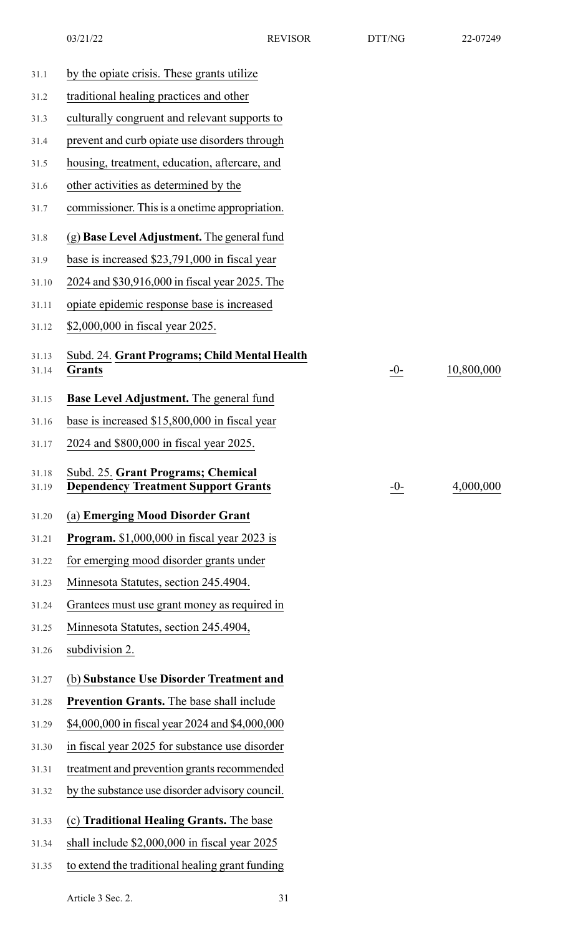| traditional healing practices and other<br>31.2<br>culturally congruent and relevant supports to<br>31.3<br>prevent and curb opiate use disorders through<br>31.4<br>housing, treatment, education, aftercare, and<br>31.5<br>other activities as determined by the<br>31.6<br>commissioner. This is a onetime appropriation.<br>31.7<br>(g) Base Level Adjustment. The general fund<br>31.8<br>base is increased \$23,791,000 in fiscal year<br>31.9<br>2024 and \$30,916,000 in fiscal year 2025. The<br>31.10<br>opiate epidemic response base is increased<br>31.11<br>\$2,000,000 in fiscal year 2025.<br>31.12<br>Subd. 24. Grant Programs; Child Mental Health<br>31.13<br>$-0-$<br><b>Grants</b><br>31.14<br><b>Base Level Adjustment.</b> The general fund<br>31.15<br>base is increased \$15,800,000 in fiscal year<br>31.16<br>2024 and \$800,000 in fiscal year 2025.<br>31.17<br>Subd. 25. Grant Programs; Chemical<br>31.18<br><b>Dependency Treatment Support Grants</b><br>$-0-$<br>31.19<br>(a) Emerging Mood Disorder Grant<br>31.20<br><b>Program.</b> \$1,000,000 in fiscal year 2023 is<br>31.21<br>for emerging mood disorder grants under<br>31.22<br>Minnesota Statutes, section 245.4904.<br>31.23<br>Grantees must use grant money as required in<br>31.24<br>Minnesota Statutes, section 245.4904,<br>31.25<br>subdivision 2.<br>31.26<br>(b) Substance Use Disorder Treatment and<br>31.27<br>Prevention Grants. The base shall include<br>31.28<br>\$4,000,000 in fiscal year 2024 and \$4,000,000<br>31.29<br>in fiscal year 2025 for substance use disorder<br>31.30<br>treatment and prevention grants recommended<br>31.31<br>by the substance use disorder advisory council.<br>31.32<br>(c) Traditional Healing Grants. The base<br>31.33<br>shall include \$2,000,000 in fiscal year 2025<br>31.34<br>31.35 | 31.1 | by the opiate crisis. These grants utilize      |            |
|-------------------------------------------------------------------------------------------------------------------------------------------------------------------------------------------------------------------------------------------------------------------------------------------------------------------------------------------------------------------------------------------------------------------------------------------------------------------------------------------------------------------------------------------------------------------------------------------------------------------------------------------------------------------------------------------------------------------------------------------------------------------------------------------------------------------------------------------------------------------------------------------------------------------------------------------------------------------------------------------------------------------------------------------------------------------------------------------------------------------------------------------------------------------------------------------------------------------------------------------------------------------------------------------------------------------------------------------------------------------------------------------------------------------------------------------------------------------------------------------------------------------------------------------------------------------------------------------------------------------------------------------------------------------------------------------------------------------------------------------------------------------------------------------------------------------------------------------------|------|-------------------------------------------------|------------|
|                                                                                                                                                                                                                                                                                                                                                                                                                                                                                                                                                                                                                                                                                                                                                                                                                                                                                                                                                                                                                                                                                                                                                                                                                                                                                                                                                                                                                                                                                                                                                                                                                                                                                                                                                                                                                                                 |      |                                                 |            |
|                                                                                                                                                                                                                                                                                                                                                                                                                                                                                                                                                                                                                                                                                                                                                                                                                                                                                                                                                                                                                                                                                                                                                                                                                                                                                                                                                                                                                                                                                                                                                                                                                                                                                                                                                                                                                                                 |      |                                                 |            |
|                                                                                                                                                                                                                                                                                                                                                                                                                                                                                                                                                                                                                                                                                                                                                                                                                                                                                                                                                                                                                                                                                                                                                                                                                                                                                                                                                                                                                                                                                                                                                                                                                                                                                                                                                                                                                                                 |      |                                                 |            |
|                                                                                                                                                                                                                                                                                                                                                                                                                                                                                                                                                                                                                                                                                                                                                                                                                                                                                                                                                                                                                                                                                                                                                                                                                                                                                                                                                                                                                                                                                                                                                                                                                                                                                                                                                                                                                                                 |      |                                                 |            |
|                                                                                                                                                                                                                                                                                                                                                                                                                                                                                                                                                                                                                                                                                                                                                                                                                                                                                                                                                                                                                                                                                                                                                                                                                                                                                                                                                                                                                                                                                                                                                                                                                                                                                                                                                                                                                                                 |      |                                                 |            |
|                                                                                                                                                                                                                                                                                                                                                                                                                                                                                                                                                                                                                                                                                                                                                                                                                                                                                                                                                                                                                                                                                                                                                                                                                                                                                                                                                                                                                                                                                                                                                                                                                                                                                                                                                                                                                                                 |      |                                                 |            |
|                                                                                                                                                                                                                                                                                                                                                                                                                                                                                                                                                                                                                                                                                                                                                                                                                                                                                                                                                                                                                                                                                                                                                                                                                                                                                                                                                                                                                                                                                                                                                                                                                                                                                                                                                                                                                                                 |      |                                                 |            |
|                                                                                                                                                                                                                                                                                                                                                                                                                                                                                                                                                                                                                                                                                                                                                                                                                                                                                                                                                                                                                                                                                                                                                                                                                                                                                                                                                                                                                                                                                                                                                                                                                                                                                                                                                                                                                                                 |      |                                                 |            |
|                                                                                                                                                                                                                                                                                                                                                                                                                                                                                                                                                                                                                                                                                                                                                                                                                                                                                                                                                                                                                                                                                                                                                                                                                                                                                                                                                                                                                                                                                                                                                                                                                                                                                                                                                                                                                                                 |      |                                                 |            |
|                                                                                                                                                                                                                                                                                                                                                                                                                                                                                                                                                                                                                                                                                                                                                                                                                                                                                                                                                                                                                                                                                                                                                                                                                                                                                                                                                                                                                                                                                                                                                                                                                                                                                                                                                                                                                                                 |      |                                                 |            |
|                                                                                                                                                                                                                                                                                                                                                                                                                                                                                                                                                                                                                                                                                                                                                                                                                                                                                                                                                                                                                                                                                                                                                                                                                                                                                                                                                                                                                                                                                                                                                                                                                                                                                                                                                                                                                                                 |      |                                                 |            |
|                                                                                                                                                                                                                                                                                                                                                                                                                                                                                                                                                                                                                                                                                                                                                                                                                                                                                                                                                                                                                                                                                                                                                                                                                                                                                                                                                                                                                                                                                                                                                                                                                                                                                                                                                                                                                                                 |      |                                                 |            |
|                                                                                                                                                                                                                                                                                                                                                                                                                                                                                                                                                                                                                                                                                                                                                                                                                                                                                                                                                                                                                                                                                                                                                                                                                                                                                                                                                                                                                                                                                                                                                                                                                                                                                                                                                                                                                                                 |      |                                                 | 10,800,000 |
|                                                                                                                                                                                                                                                                                                                                                                                                                                                                                                                                                                                                                                                                                                                                                                                                                                                                                                                                                                                                                                                                                                                                                                                                                                                                                                                                                                                                                                                                                                                                                                                                                                                                                                                                                                                                                                                 |      |                                                 |            |
|                                                                                                                                                                                                                                                                                                                                                                                                                                                                                                                                                                                                                                                                                                                                                                                                                                                                                                                                                                                                                                                                                                                                                                                                                                                                                                                                                                                                                                                                                                                                                                                                                                                                                                                                                                                                                                                 |      |                                                 |            |
|                                                                                                                                                                                                                                                                                                                                                                                                                                                                                                                                                                                                                                                                                                                                                                                                                                                                                                                                                                                                                                                                                                                                                                                                                                                                                                                                                                                                                                                                                                                                                                                                                                                                                                                                                                                                                                                 |      |                                                 |            |
|                                                                                                                                                                                                                                                                                                                                                                                                                                                                                                                                                                                                                                                                                                                                                                                                                                                                                                                                                                                                                                                                                                                                                                                                                                                                                                                                                                                                                                                                                                                                                                                                                                                                                                                                                                                                                                                 |      |                                                 | 4,000,000  |
|                                                                                                                                                                                                                                                                                                                                                                                                                                                                                                                                                                                                                                                                                                                                                                                                                                                                                                                                                                                                                                                                                                                                                                                                                                                                                                                                                                                                                                                                                                                                                                                                                                                                                                                                                                                                                                                 |      |                                                 |            |
|                                                                                                                                                                                                                                                                                                                                                                                                                                                                                                                                                                                                                                                                                                                                                                                                                                                                                                                                                                                                                                                                                                                                                                                                                                                                                                                                                                                                                                                                                                                                                                                                                                                                                                                                                                                                                                                 |      |                                                 |            |
|                                                                                                                                                                                                                                                                                                                                                                                                                                                                                                                                                                                                                                                                                                                                                                                                                                                                                                                                                                                                                                                                                                                                                                                                                                                                                                                                                                                                                                                                                                                                                                                                                                                                                                                                                                                                                                                 |      |                                                 |            |
|                                                                                                                                                                                                                                                                                                                                                                                                                                                                                                                                                                                                                                                                                                                                                                                                                                                                                                                                                                                                                                                                                                                                                                                                                                                                                                                                                                                                                                                                                                                                                                                                                                                                                                                                                                                                                                                 |      |                                                 |            |
|                                                                                                                                                                                                                                                                                                                                                                                                                                                                                                                                                                                                                                                                                                                                                                                                                                                                                                                                                                                                                                                                                                                                                                                                                                                                                                                                                                                                                                                                                                                                                                                                                                                                                                                                                                                                                                                 |      |                                                 |            |
|                                                                                                                                                                                                                                                                                                                                                                                                                                                                                                                                                                                                                                                                                                                                                                                                                                                                                                                                                                                                                                                                                                                                                                                                                                                                                                                                                                                                                                                                                                                                                                                                                                                                                                                                                                                                                                                 |      |                                                 |            |
|                                                                                                                                                                                                                                                                                                                                                                                                                                                                                                                                                                                                                                                                                                                                                                                                                                                                                                                                                                                                                                                                                                                                                                                                                                                                                                                                                                                                                                                                                                                                                                                                                                                                                                                                                                                                                                                 |      |                                                 |            |
|                                                                                                                                                                                                                                                                                                                                                                                                                                                                                                                                                                                                                                                                                                                                                                                                                                                                                                                                                                                                                                                                                                                                                                                                                                                                                                                                                                                                                                                                                                                                                                                                                                                                                                                                                                                                                                                 |      |                                                 |            |
|                                                                                                                                                                                                                                                                                                                                                                                                                                                                                                                                                                                                                                                                                                                                                                                                                                                                                                                                                                                                                                                                                                                                                                                                                                                                                                                                                                                                                                                                                                                                                                                                                                                                                                                                                                                                                                                 |      |                                                 |            |
|                                                                                                                                                                                                                                                                                                                                                                                                                                                                                                                                                                                                                                                                                                                                                                                                                                                                                                                                                                                                                                                                                                                                                                                                                                                                                                                                                                                                                                                                                                                                                                                                                                                                                                                                                                                                                                                 |      |                                                 |            |
|                                                                                                                                                                                                                                                                                                                                                                                                                                                                                                                                                                                                                                                                                                                                                                                                                                                                                                                                                                                                                                                                                                                                                                                                                                                                                                                                                                                                                                                                                                                                                                                                                                                                                                                                                                                                                                                 |      |                                                 |            |
|                                                                                                                                                                                                                                                                                                                                                                                                                                                                                                                                                                                                                                                                                                                                                                                                                                                                                                                                                                                                                                                                                                                                                                                                                                                                                                                                                                                                                                                                                                                                                                                                                                                                                                                                                                                                                                                 |      |                                                 |            |
|                                                                                                                                                                                                                                                                                                                                                                                                                                                                                                                                                                                                                                                                                                                                                                                                                                                                                                                                                                                                                                                                                                                                                                                                                                                                                                                                                                                                                                                                                                                                                                                                                                                                                                                                                                                                                                                 |      |                                                 |            |
|                                                                                                                                                                                                                                                                                                                                                                                                                                                                                                                                                                                                                                                                                                                                                                                                                                                                                                                                                                                                                                                                                                                                                                                                                                                                                                                                                                                                                                                                                                                                                                                                                                                                                                                                                                                                                                                 |      |                                                 |            |
|                                                                                                                                                                                                                                                                                                                                                                                                                                                                                                                                                                                                                                                                                                                                                                                                                                                                                                                                                                                                                                                                                                                                                                                                                                                                                                                                                                                                                                                                                                                                                                                                                                                                                                                                                                                                                                                 |      |                                                 |            |
|                                                                                                                                                                                                                                                                                                                                                                                                                                                                                                                                                                                                                                                                                                                                                                                                                                                                                                                                                                                                                                                                                                                                                                                                                                                                                                                                                                                                                                                                                                                                                                                                                                                                                                                                                                                                                                                 |      | to extend the traditional healing grant funding |            |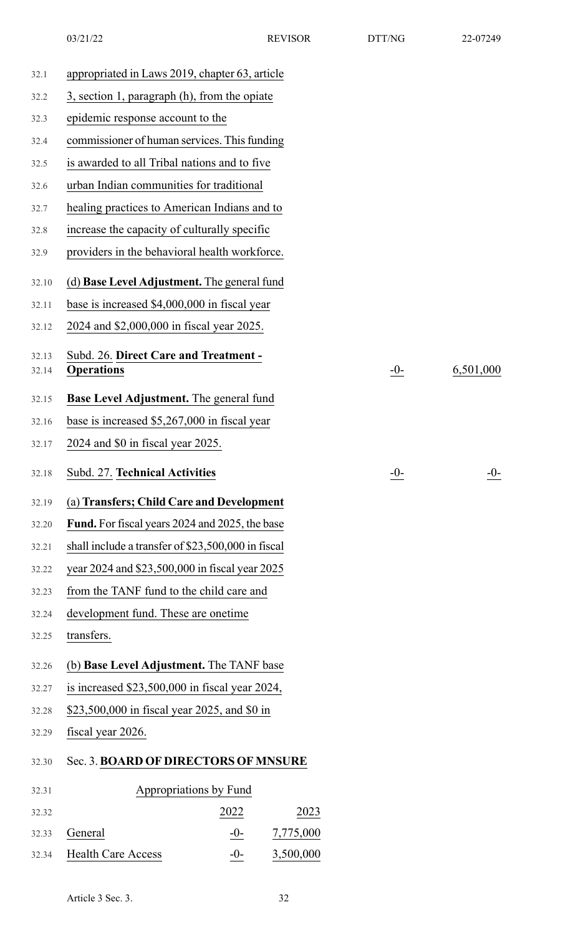| 32.1           | appropriated in Laws 2019, chapter 63, article             |                        |           |       |           |
|----------------|------------------------------------------------------------|------------------------|-----------|-------|-----------|
| 32.2           | 3, section 1, paragraph (h), from the opiate               |                        |           |       |           |
| 32.3           | epidemic response account to the                           |                        |           |       |           |
| 32.4           | commissioner of human services. This funding               |                        |           |       |           |
| 32.5           | is awarded to all Tribal nations and to five               |                        |           |       |           |
| 32.6           | urban Indian communities for traditional                   |                        |           |       |           |
| 32.7           | healing practices to American Indians and to               |                        |           |       |           |
| 32.8           | increase the capacity of culturally specific               |                        |           |       |           |
| 32.9           | providers in the behavioral health workforce.              |                        |           |       |           |
| 32.10          | (d) Base Level Adjustment. The general fund                |                        |           |       |           |
| 32.11          | base is increased \$4,000,000 in fiscal year               |                        |           |       |           |
| 32.12          | 2024 and \$2,000,000 in fiscal year 2025.                  |                        |           |       |           |
| 32.13<br>32.14 | Subd. 26. Direct Care and Treatment -<br><b>Operations</b> |                        |           | $-0-$ | 6,501,000 |
|                |                                                            |                        |           |       |           |
| 32.15          | Base Level Adjustment. The general fund                    |                        |           |       |           |
| 32.16          | base is increased \$5,267,000 in fiscal year               |                        |           |       |           |
| 32.17          | 2024 and \$0 in fiscal year 2025.                          |                        |           |       |           |
| 32.18          | Subd. 27. Technical Activities                             |                        |           | $-0-$ | $-0-$     |
| 32.19          | (a) Transfers; Child Care and Development                  |                        |           |       |           |
| 32.20          | <b>Fund.</b> For fiscal years 2024 and 2025, the base      |                        |           |       |           |
| 32.21          | shall include a transfer of \$23,500,000 in fiscal         |                        |           |       |           |
| 32.22          | year 2024 and \$23,500,000 in fiscal year 2025             |                        |           |       |           |
| 32.23          | from the TANF fund to the child care and                   |                        |           |       |           |
| 32.24          | development fund. These are onetime                        |                        |           |       |           |
| 32.25          | transfers.                                                 |                        |           |       |           |
| 32.26          | (b) Base Level Adjustment. The TANF base                   |                        |           |       |           |
| 32.27          | is increased $$23,500,000$ in fiscal year 2024,            |                        |           |       |           |
| 32.28          | \$23,500,000 in fiscal year 2025, and \$0 in               |                        |           |       |           |
| 32.29          | fiscal year 2026.                                          |                        |           |       |           |
| 32.30          | Sec. 3. BOARD OF DIRECTORS OF MNSURE                       |                        |           |       |           |
| 32.31          |                                                            | Appropriations by Fund |           |       |           |
| 32.32          |                                                            | 2022                   | 2023      |       |           |
| 32.33          | General                                                    | $-0-$                  | 7,775,000 |       |           |
| 32.34          | <b>Health Care Access</b>                                  | $-0-$                  | 3,500,000 |       |           |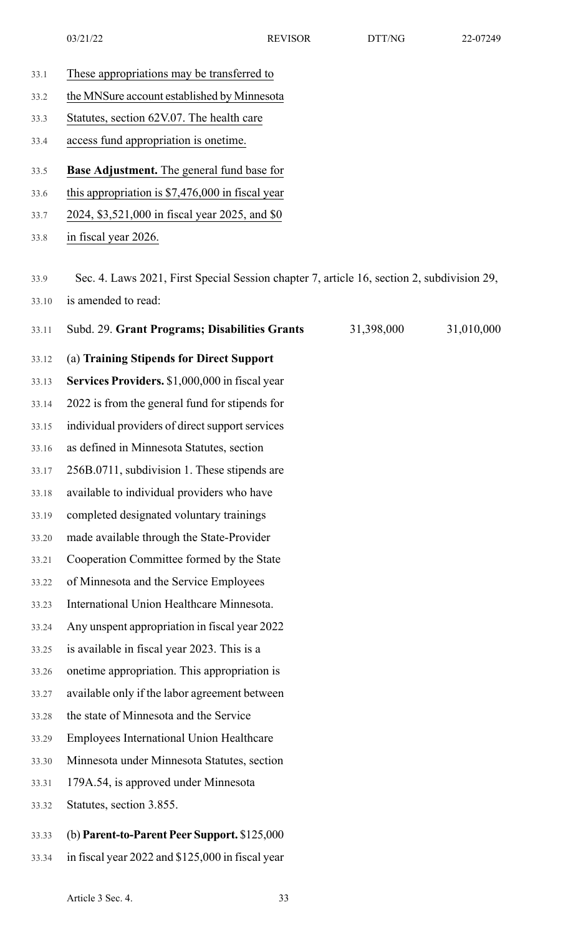- 
- 33.1 These appropriations may be transferred to 33.2 the MNSure account established by Minnesota 33.3 Statutes, section 62V.07. The health care 33.4 access fund appropriation is onetime. 33.5 **Base Adjustment.** The general fund base for 33.6 this appropriation is \$7,476,000 in fiscal year 33.7 2024, \$3,521,000 in fiscal year 2025, and \$0 33.8 in fiscal year 2026. 33.9 Sec. 4. Laws 2021, First Special Session chapter 7, article 16, section 2, subdivision 29, 33.10 is amended to read: 33.11 Subd. 29. **Grant Programs; Disabilities Grants** 31,398,000 31,010,000 33.12 (a) **Training Stipends for Direct Support** 33.13 **Services Providers.** \$1,000,000 in fiscal year 33.14 2022 is from the general fund for stipends for 33.15 individual providers of direct support services 33.16 as defined in Minnesota Statutes, section 33.17 256B.0711, subdivision 1. These stipends are 33.18 available to individual providers who have 33.19 completed designated voluntary trainings 33.20 made available through the State-Provider 33.21 Cooperation Committee formed by the State 33.22 of Minnesota and the Service Employees 33.23 International Union Healthcare Minnesota. 33.24 Any unspent appropriation in fiscal year 2022 33.25 is available in fiscal year 2023. This is a 33.26 onetime appropriation. This appropriation is 33.27 available only if the labor agreement between 33.28 the state of Minnesota and the Service 33.29 Employees International Union Healthcare 33.30 Minnesota under Minnesota Statutes, section 33.31 179A.54, is approved under Minnesota 33.32 Statutes, section 3.855. 33.33 (b) **Parent-to-Parent Peer Support.** \$125,000
- 33.34 in fiscal year 2022 and \$125,000 in fiscal year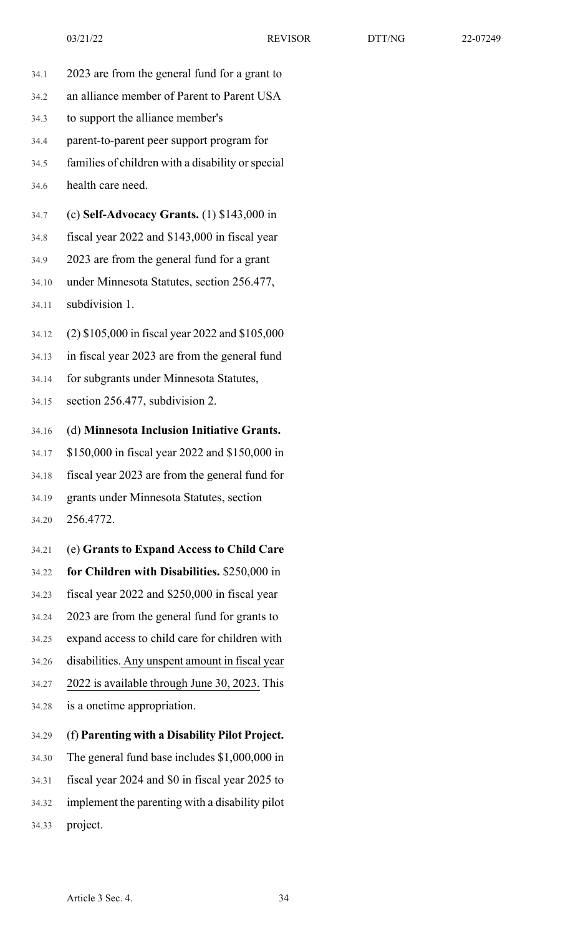- 34.1 2023 are from the general fund for a grant to 34.2 an alliance member of Parent to Parent USA 34.3 to support the alliance member's 34.4 parent-to-parent peer support program for 34.5 families of children with a disability orspecial 34.6 health care need. 34.7 (c) **Self-Advocacy Grants.** (1) \$143,000 in 34.8 fiscal year 2022 and \$143,000 in fiscal year 34.9 2023 are from the general fund for a grant 34.10 under Minnesota Statutes, section 256.477, 34.11 subdivision 1. 34.12 (2) \$105,000 in fiscal year 2022 and \$105,000 34.13 in fiscal year 2023 are from the general fund
	- 34.14 for subgrants under Minnesota Statutes,
	- 34.15 section 256.477, subdivision 2.
	- 34.16 (d) **Minnesota Inclusion Initiative Grants.**
	- 34.17 \$150,000 in fiscal year 2022 and \$150,000 in
	- 34.18 fiscal year 2023 are from the general fund for

34.19 grants under Minnesota Statutes, section 34.20 256.4772.

- 34.21 (e) **Grants to Expand Access to Child Care**
- 34.22 **for Children with Disabilities.** \$250,000 in
- 34.23 fiscal year 2022 and \$250,000 in fiscal year
- 34.24 2023 are from the general fund for grants to
- 34.25 expand access to child care for children with
- 34.26 disabilities. Any unspent amount in fiscal year
- 34.27 2022 is available through June 30, 2023. This 34.28 is a onetime appropriation.
- 34.29 (f) **Parenting with a Disability Pilot Project.**
- 34.30 The general fund base includes \$1,000,000 in
- 34.31 fiscal year 2024 and \$0 in fiscal year 2025 to
- 34.32 implement the parenting with a disability pilot
- 34.33 project.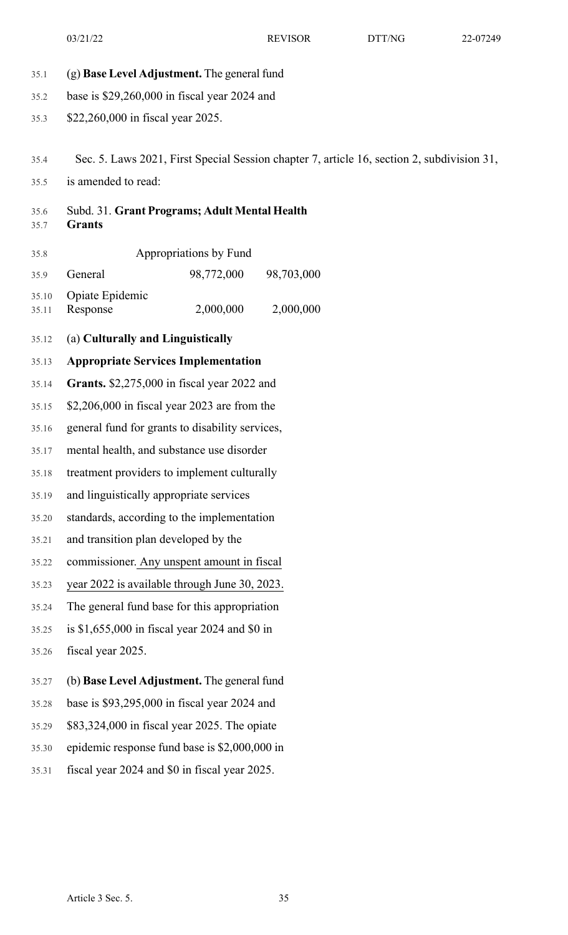35.1 (g) **Base Level Adjustment.** The general fund 35.2 base is \$29,260,000 in fiscal year 2024 and 35.3 \$22,260,000 in fiscal year 2025. 35.4 Sec. 5. Laws 2021, First Special Session chapter 7, article 16, section 2, subdivision 31, 35.5 is amended to read: 35.6 Subd. 31. **Grant Programs; Adult Mental Health** 35.7 **Grants** 35.8 Appropriations by Fund 35.9 General 98,772,000 98,703,000 2,000,000 2,000,000 35.10 Opiate Epidemic 35.11 Response 35.12 (a) **Culturally and Linguistically** 35.13 **Appropriate Services Implementation** 35.14 **Grants.** \$2,275,000 in fiscal year 2022 and 35.15 \$2,206,000 in fiscal year 2023 are from the 35.16 general fund for grants to disability services, 35.17 mental health, and substance use disorder 35.18 treatment providers to implement culturally 35.19 and linguistically appropriate services 35.20 standards, according to the implementation 35.21 and transition plan developed by the 35.22 commissioner. Any unspent amount in fiscal 35.23 year 2022 is available through June 30, 2023. 35.24 The general fund base for this appropriation 35.25 is \$1,655,000 in fiscal year 2024 and \$0 in 35.26 fiscal year 2025. 35.27 (b) **Base Level Adjustment.** The general fund 35.28 base is \$93,295,000 in fiscal year 2024 and 35.29 \$83,324,000 in fiscal year 2025. The opiate 35.30 epidemic response fund base is \$2,000,000 in 35.31 fiscal year 2024 and \$0 in fiscal year 2025.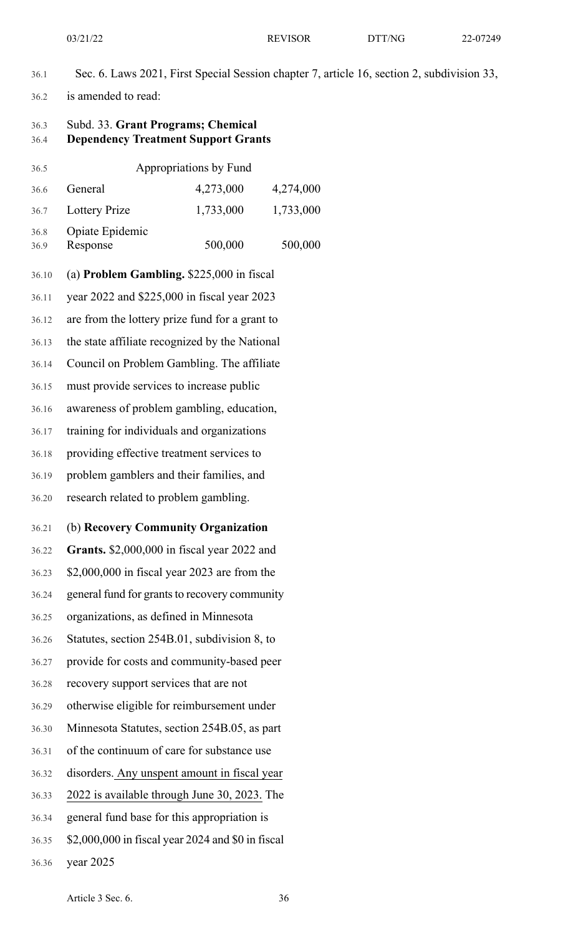- 36.1 Sec. 6. Laws 2021, First Special Session chapter 7, article 16, section 2, subdivision 33,
- 36.2 is amended to read:

### 36.3 Subd. 33. **Grant Programs; Chemical** 36.4 **Dependency Treatment Support Grants**

| 36.5         |                                                   | Appropriations by Fund |           |  |
|--------------|---------------------------------------------------|------------------------|-----------|--|
| 36.6         | General                                           | 4,273,000              | 4,274,000 |  |
| 36.7         | <b>Lottery Prize</b>                              | 1,733,000              | 1,733,000 |  |
| 36.8<br>36.9 | Opiate Epidemic<br>Response                       | 500,000                | 500,000   |  |
| 36.10        | (a) Problem Gambling. \$225,000 in fiscal         |                        |           |  |
| 36.11        | year 2022 and \$225,000 in fiscal year 2023       |                        |           |  |
| 36.12        | are from the lottery prize fund for a grant to    |                        |           |  |
| 36.13        | the state affiliate recognized by the National    |                        |           |  |
| 36.14        | Council on Problem Gambling. The affiliate        |                        |           |  |
| 36.15        | must provide services to increase public          |                        |           |  |
| 36.16        | awareness of problem gambling, education,         |                        |           |  |
| 36.17        | training for individuals and organizations        |                        |           |  |
| 36.18        | providing effective treatment services to         |                        |           |  |
| 36.19        | problem gamblers and their families, and          |                        |           |  |
| 36.20        | research related to problem gambling.             |                        |           |  |
| 36.21        | (b) Recovery Community Organization               |                        |           |  |
| 36.22        | Grants. \$2,000,000 in fiscal year 2022 and       |                        |           |  |
| 36.23        | \$2,000,000 in fiscal year 2023 are from the      |                        |           |  |
| 36.24        | general fund for grants to recovery community     |                        |           |  |
| 36.25        | organizations, as defined in Minnesota            |                        |           |  |
| 36.26        | Statutes, section 254B.01, subdivision 8, to      |                        |           |  |
| 36.27        | provide for costs and community-based peer        |                        |           |  |
| 36.28        | recovery support services that are not            |                        |           |  |
| 36.29        | otherwise eligible for reimbursement under        |                        |           |  |
| 36.30        | Minnesota Statutes, section 254B.05, as part      |                        |           |  |
| 36.31        | of the continuum of care for substance use        |                        |           |  |
| 36.32        | disorders. Any unspent amount in fiscal year      |                        |           |  |
| 36.33        | 2022 is available through June 30, 2023. The      |                        |           |  |
| 36.34        | general fund base for this appropriation is       |                        |           |  |
| 36.35        | \$2,000,000 in fiscal year 2024 and \$0 in fiscal |                        |           |  |
| 36.36        | year $2025$                                       |                        |           |  |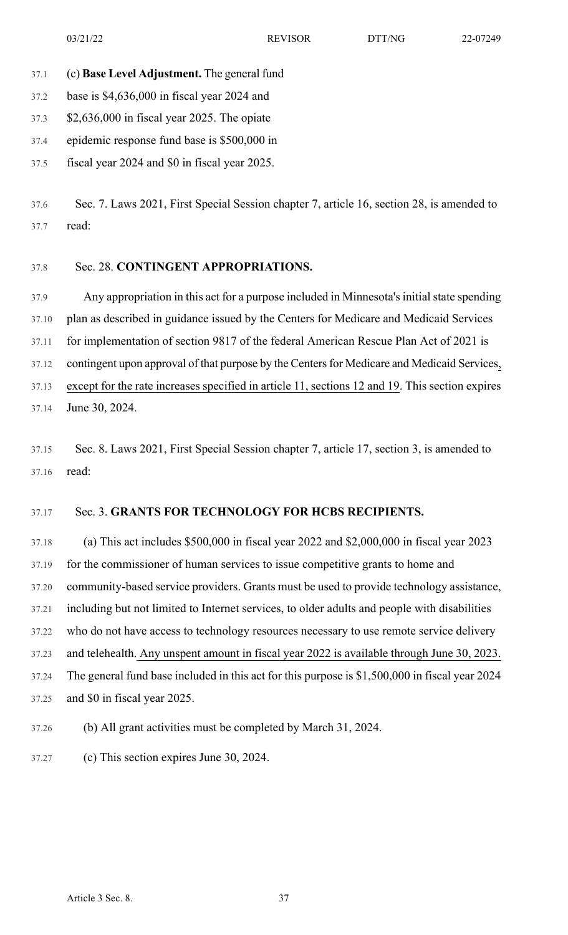- 37.1 (c) **Base Level Adjustment.** The general fund
- 37.2 base is \$4,636,000 in fiscal year 2024 and
- 37.3 \$2,636,000 in fiscal year 2025. The opiate
- 37.4 epidemic response fund base is \$500,000 in
- 37.5 fiscal year 2024 and \$0 in fiscal year 2025.

37.6 Sec. 7. Laws 2021, First Special Session chapter 7, article 16, section 28, is amended to 37.7 read:

#### 37.8 Sec. 28. **CONTINGENT APPROPRIATIONS.**

37.9 Any appropriation in this act for a purpose included in Minnesota's initial state spending 37.10 plan as described in guidance issued by the Centers for Medicare and Medicaid Services 37.11 for implementation of section 9817 of the federal American Rescue Plan Act of 2021 is 37.12 contingent upon approval of that purpose by the Centers for Medicare and Medicaid Services, 37.13 except for the rate increases specified in article 11, sections 12 and 19. This section expires 37.14 June 30, 2024.

37.15 Sec. 8. Laws 2021, First Special Session chapter 7, article 17, section 3, is amended to 37.16 read:

### 37.17 Sec. 3. **GRANTS FOR TECHNOLOGY FOR HCBS RECIPIENTS.**

37.18 (a) This act includes \$500,000 in fiscal year 2022 and \$2,000,000 in fiscal year 2023 37.19 for the commissioner of human services to issue competitive grants to home and 37.20 community-based service providers. Grants must be used to provide technology assistance, 37.21 including but not limited to Internet services, to older adults and people with disabilities 37.22 who do not have access to technology resources necessary to use remote service delivery 37.23 and telehealth. Any unspent amount in fiscal year 2022 is available through June 30, 2023. 37.24 The general fund base included in this act for this purpose is \$1,500,000 in fiscal year 2024 37.25 and \$0 in fiscal year 2025.

- 37.26 (b) All grant activities must be completed by March 31, 2024.
- 37.27 (c) This section expires June 30, 2024.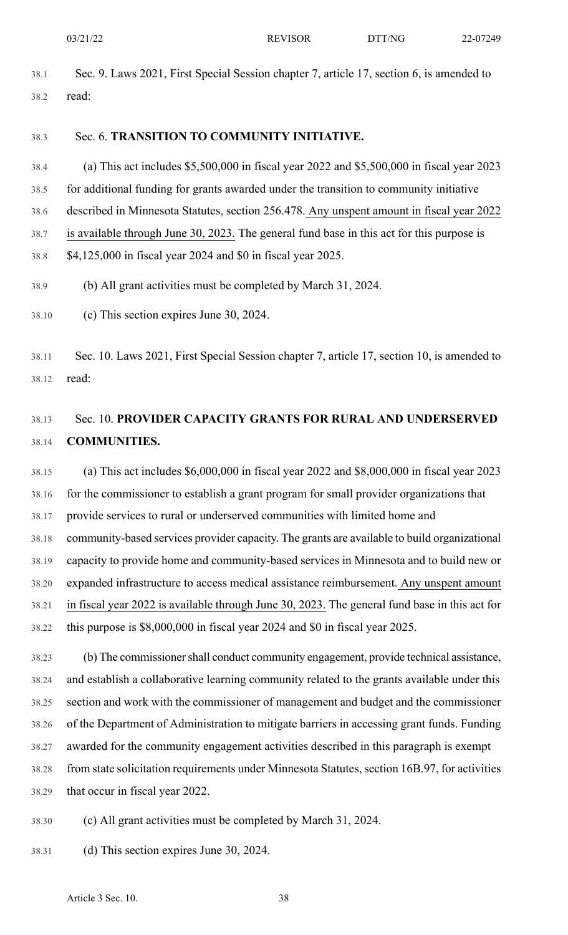38.1 Sec. 9. Laws 2021, First Special Session chapter 7, article 17, section 6, is amended to 38.2 read:

#### 38.3 Sec. 6. **TRANSITION TO COMMUNITY INITIATIVE.**

38.4 (a) This act includes \$5,500,000 in fiscal year 2022 and \$5,500,000 in fiscal year 2023 38.5 for additional funding for grants awarded under the transition to community initiative 38.6 described in Minnesota Statutes, section 256.478. Any unspent amount in fiscal year 2022 38.7 is available through June 30, 2023. The general fund base in this act for this purpose is 38.8 \$4,125,000 in fiscal year 2024 and \$0 in fiscal year 2025.

- 38.9 (b) All grant activities must be completed by March 31, 2024.
- 38.10 (c) This section expires June 30, 2024.

38.11 Sec. 10. Laws 2021, First Special Session chapter 7, article 17, section 10, is amended to 38.12 read:

# 38.13 Sec. 10. **PROVIDER CAPACITY GRANTS FOR RURAL AND UNDERSERVED** 38.14 **COMMUNITIES.**

38.15 (a) This act includes \$6,000,000 in fiscal year 2022 and \$8,000,000 in fiscal year 2023 38.16 for the commissioner to establish a grant program for small provider organizations that 38.17 provide services to rural or underserved communities with limited home and 38.18 community-based services provider capacity. The grants are available to build organizational 38.19 capacity to provide home and community-based services in Minnesota and to build new or 38.20 expanded infrastructure to access medical assistance reimbursement. Any unspent amount 38.21 in fiscal year 2022 is available through June 30, 2023. The general fund base in this act for 38.22 this purpose is \$8,000,000 in fiscal year 2024 and \$0 in fiscal year 2025.

38.23 (b) The commissionershall conduct community engagement, provide technical assistance, 38.24 and establish a collaborative learning community related to the grants available under this 38.25 section and work with the commissioner of management and budget and the commissioner 38.26 of the Department of Administration to mitigate barriers in accessing grant funds. Funding 38.27 awarded for the community engagement activities described in this paragraph is exempt 38.28 from state solicitation requirements under Minnesota Statutes, section 16B.97, for activities 38.29 that occur in fiscal year 2022.

- 38.30 (c) All grant activities must be completed by March 31, 2024.
- 38.31 (d) This section expires June 30, 2024.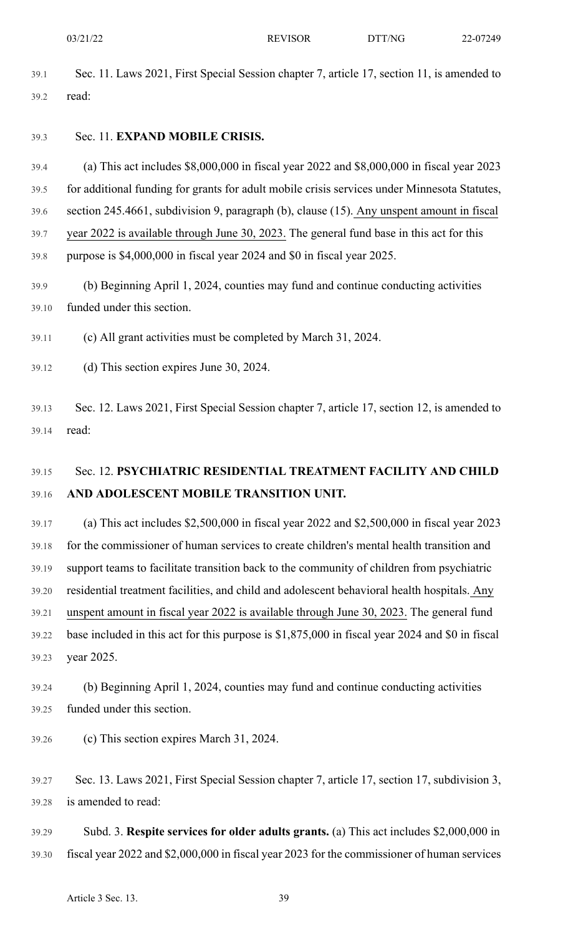39.1 Sec. 11. Laws 2021, First Special Session chapter 7, article 17, section 11, is amended to 39.2 read:

#### 39.3 Sec. 11. **EXPAND MOBILE CRISIS.**

39.4 (a) This act includes \$8,000,000 in fiscal year 2022 and \$8,000,000 in fiscal year 2023 39.5 for additional funding for grants for adult mobile crisis services under Minnesota Statutes, 39.6 section 245.4661, subdivision 9, paragraph (b), clause (15). Any unspent amount in fiscal 39.7 year 2022 is available through June 30, 2023. The general fund base in this act for this

39.8 purpose is \$4,000,000 in fiscal year 2024 and \$0 in fiscal year 2025.

39.9 (b) Beginning April 1, 2024, counties may fund and continue conducting activities 39.10 funded under this section.

39.11 (c) All grant activities must be completed by March 31, 2024.

39.12 (d) This section expires June 30, 2024.

39.13 Sec. 12. Laws 2021, First Special Session chapter 7, article 17, section 12, is amended to 39.14 read:

# 39.15 Sec. 12. **PSYCHIATRIC RESIDENTIAL TREATMENT FACILITY AND CHILD** 39.16 **AND ADOLESCENT MOBILE TRANSITION UNIT.**

39.17 (a) This act includes \$2,500,000 in fiscal year 2022 and \$2,500,000 in fiscal year 2023 39.18 for the commissioner of human services to create children's mental health transition and 39.19 support teams to facilitate transition back to the community of children from psychiatric 39.20 residential treatment facilities, and child and adolescent behavioral health hospitals. Any 39.21 unspent amount in fiscal year 2022 is available through June 30, 2023. The general fund 39.22 base included in this act for this purpose is \$1,875,000 in fiscal year 2024 and \$0 in fiscal 39.23 year 2025.

39.24 (b) Beginning April 1, 2024, counties may fund and continue conducting activities 39.25 funded under this section.

39.26 (c) This section expires March 31, 2024.

39.27 Sec. 13. Laws 2021, First Special Session chapter 7, article 17, section 17, subdivision 3, 39.28 is amended to read:

39.29 Subd. 3. **Respite services for older adults grants.** (a) This act includes \$2,000,000 in 39.30 fiscal year 2022 and \$2,000,000 in fiscal year 2023 for the commissioner of human services